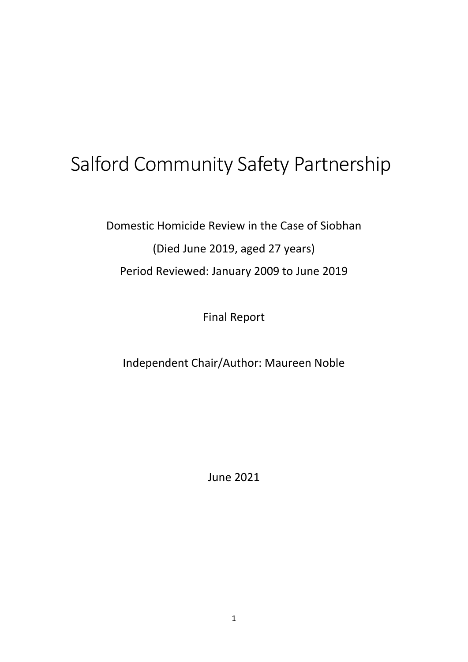# Salford Community Safety Partnership

Domestic Homicide Review in the Case of Siobhan (Died June 2019, aged 27 years) Period Reviewed: January 2009 to June 2019

Final Report

Independent Chair/Author: Maureen Noble

June 2021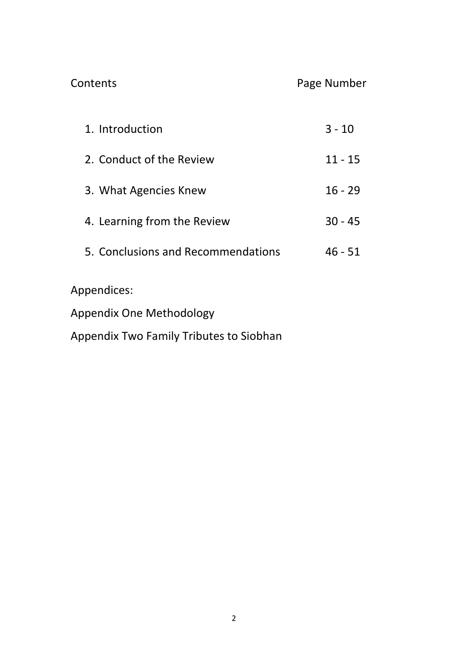Contents Page Number

| 1. Introduction                    | $3 - 10$  |
|------------------------------------|-----------|
| 2. Conduct of the Review           | $11 - 15$ |
| 3. What Agencies Knew              | $16 - 29$ |
| 4. Learning from the Review        | $30 - 45$ |
| 5. Conclusions and Recommendations | $46 - 51$ |
| Appendices:                        |           |
| Appendix One Methodology           |           |

Appendix Two Family Tributes to Siobhan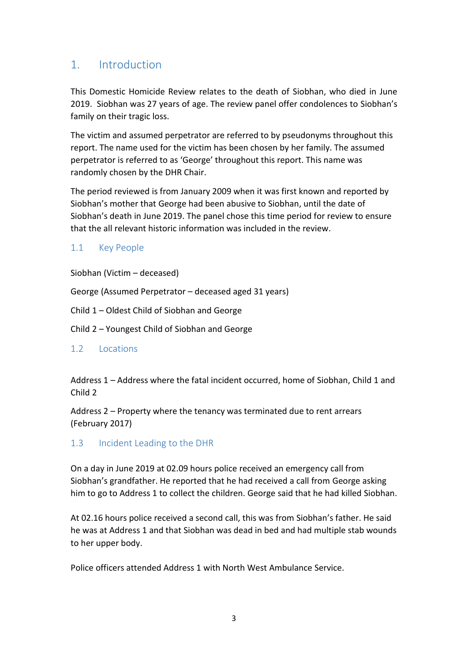## 1. Introduction

This Domestic Homicide Review relates to the death of Siobhan, who died in June 2019. Siobhan was 27 years of age. The review panel offer condolences to Siobhan's family on their tragic loss.

The victim and assumed perpetrator are referred to by pseudonyms throughout this report. The name used for the victim has been chosen by her family. The assumed perpetrator is referred to as 'George' throughout this report. This name was randomly chosen by the DHR Chair.

The period reviewed is from January 2009 when it was first known and reported by Siobhan's mother that George had been abusive to Siobhan, until the date of Siobhan's death in June 2019. The panel chose this time period for review to ensure that the all relevant historic information was included in the review.

#### 1.1 Key People

Siobhan (Victim – deceased)

George (Assumed Perpetrator – deceased aged 31 years)

Child 1 – Oldest Child of Siobhan and George

Child 2 – Youngest Child of Siobhan and George

#### 1.2 Locations

Address 1 – Address where the fatal incident occurred, home of Siobhan, Child 1 and Child 2

Address 2 – Property where the tenancy was terminated due to rent arrears (February 2017)

#### 1.3 Incident Leading to the DHR

On a day in June 2019 at 02.09 hours police received an emergency call from Siobhan's grandfather. He reported that he had received a call from George asking him to go to Address 1 to collect the children. George said that he had killed Siobhan.

At 02.16 hours police received a second call, this was from Siobhan's father. He said he was at Address 1 and that Siobhan was dead in bed and had multiple stab wounds to her upper body.

Police officers attended Address 1 with North West Ambulance Service.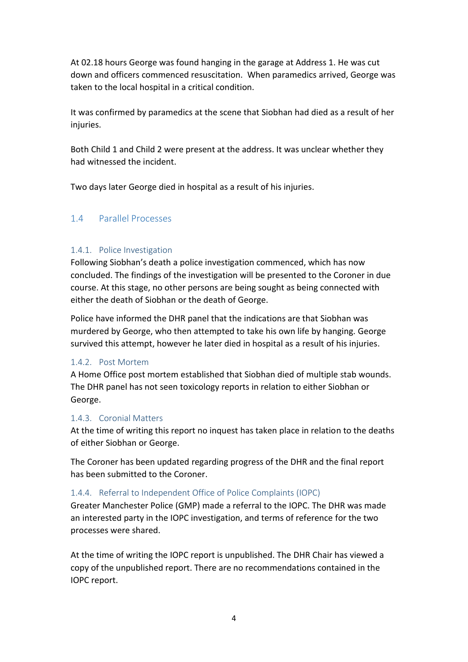At 02.18 hours George was found hanging in the garage at Address 1. He was cut down and officers commenced resuscitation. When paramedics arrived, George was taken to the local hospital in a critical condition.

It was confirmed by paramedics at the scene that Siobhan had died as a result of her injuries.

Both Child 1 and Child 2 were present at the address. It was unclear whether they had witnessed the incident.

Two days later George died in hospital as a result of his injuries.

#### 1.4 Parallel Processes

#### 1.4.1. Police Investigation

Following Siobhan's death a police investigation commenced, which has now concluded. The findings of the investigation will be presented to the Coroner in due course. At this stage, no other persons are being sought as being connected with either the death of Siobhan or the death of George.

Police have informed the DHR panel that the indications are that Siobhan was murdered by George, who then attempted to take his own life by hanging. George survived this attempt, however he later died in hospital as a result of his injuries.

#### 1.4.2. Post Mortem

A Home Office post mortem established that Siobhan died of multiple stab wounds. The DHR panel has not seen toxicology reports in relation to either Siobhan or George.

#### 1.4.3. Coronial Matters

At the time of writing this report no inquest has taken place in relation to the deaths of either Siobhan or George.

The Coroner has been updated regarding progress of the DHR and the final report has been submitted to the Coroner.

#### 1.4.4. Referral to Independent Office of Police Complaints (IOPC)

Greater Manchester Police (GMP) made a referral to the IOPC. The DHR was made an interested party in the IOPC investigation, and terms of reference for the two processes were shared.

At the time of writing the IOPC report is unpublished. The DHR Chair has viewed a copy of the unpublished report. There are no recommendations contained in the IOPC report.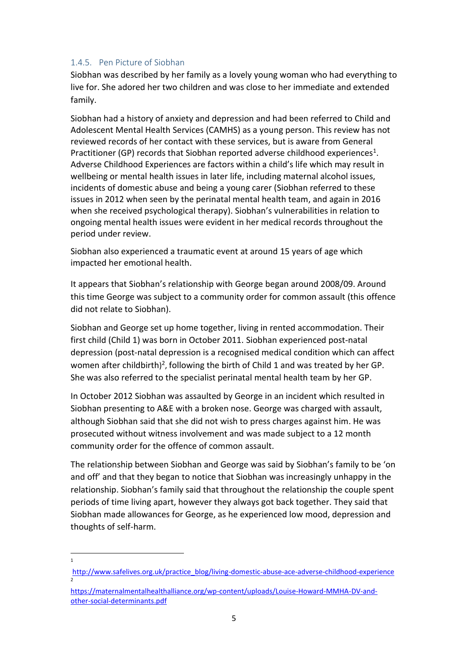#### 1.4.5. Pen Picture of Siobhan

Siobhan was described by her family as a lovely young woman who had everything to live for. She adored her two children and was close to her immediate and extended family.

Siobhan had a history of anxiety and depression and had been referred to Child and Adolescent Mental Health Services (CAMHS) as a young person. This review has not reviewed records of her contact with these services, but is aware from General Practitioner (GP) records that Siobhan reported adverse childhood experiences<sup>1</sup>. Adverse Childhood Experiences are factors within a child's life which may result in wellbeing or mental health issues in later life, including maternal alcohol issues, incidents of domestic abuse and being a young carer (Siobhan referred to these issues in 2012 when seen by the perinatal mental health team, and again in 2016 when she received psychological therapy). Siobhan's vulnerabilities in relation to ongoing mental health issues were evident in her medical records throughout the period under review.

Siobhan also experienced a traumatic event at around 15 years of age which impacted her emotional health.

It appears that Siobhan's relationship with George began around 2008/09. Around this time George was subject to a community order for common assault (this offence did not relate to Siobhan).

Siobhan and George set up home together, living in rented accommodation. Their first child (Child 1) was born in October 2011. Siobhan experienced post-natal depression (post-natal depression is a recognised medical condition which can affect women after childbirth)<sup>2</sup>, following the birth of Child 1 and was treated by her GP. She was also referred to the specialist perinatal mental health team by her GP.

In October 2012 Siobhan was assaulted by George in an incident which resulted in Siobhan presenting to A&E with a broken nose. George was charged with assault, although Siobhan said that she did not wish to press charges against him. He was prosecuted without witness involvement and was made subject to a 12 month community order for the offence of common assault.

The relationship between Siobhan and George was said by Siobhan's family to be 'on and off' and that they began to notice that Siobhan was increasingly unhappy in the relationship. Siobhan's family said that throughout the relationship the couple spent periods of time living apart, however they always got back together. They said that Siobhan made allowances for George, as he experienced low mood, depression and thoughts of self-harm.

1

[http://www.safelives.org.uk/practice\\_blog/living-domestic-abuse-ace-adverse-childhood-experience](http://www.safelives.org.uk/practice_blog/living-domestic-abuse-ace-adverse-childhood-experience) 2

[https://maternalmentalhealthalliance.org/wp-content/uploads/Louise-Howard-MMHA-DV-and](https://maternalmentalhealthalliance.org/wp-content/uploads/Louise-Howard-MMHA-DV-and-other-social-determinants.pdf)[other-social-determinants.pdf](https://maternalmentalhealthalliance.org/wp-content/uploads/Louise-Howard-MMHA-DV-and-other-social-determinants.pdf)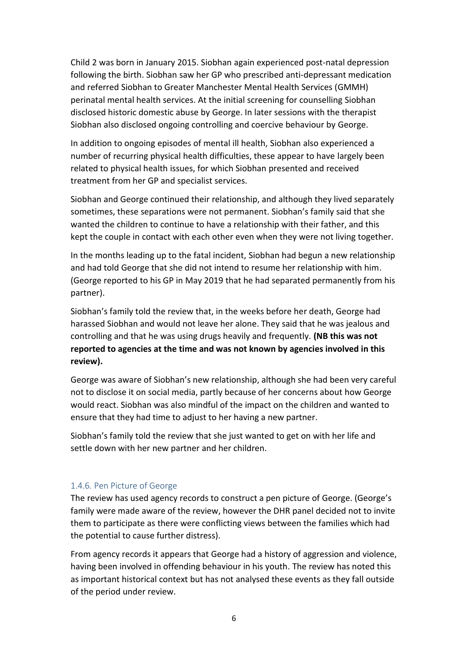Child 2 was born in January 2015. Siobhan again experienced post-natal depression following the birth. Siobhan saw her GP who prescribed anti-depressant medication and referred Siobhan to Greater Manchester Mental Health Services (GMMH) perinatal mental health services. At the initial screening for counselling Siobhan disclosed historic domestic abuse by George. In later sessions with the therapist Siobhan also disclosed ongoing controlling and coercive behaviour by George.

In addition to ongoing episodes of mental ill health, Siobhan also experienced a number of recurring physical health difficulties, these appear to have largely been related to physical health issues, for which Siobhan presented and received treatment from her GP and specialist services.

Siobhan and George continued their relationship, and although they lived separately sometimes, these separations were not permanent. Siobhan's family said that she wanted the children to continue to have a relationship with their father, and this kept the couple in contact with each other even when they were not living together.

In the months leading up to the fatal incident, Siobhan had begun a new relationship and had told George that she did not intend to resume her relationship with him. (George reported to his GP in May 2019 that he had separated permanently from his partner).

Siobhan's family told the review that, in the weeks before her death, George had harassed Siobhan and would not leave her alone. They said that he was jealous and controlling and that he was using drugs heavily and frequently. **(NB this was not reported to agencies at the time and was not known by agencies involved in this review).**

George was aware of Siobhan's new relationship, although she had been very careful not to disclose it on social media, partly because of her concerns about how George would react. Siobhan was also mindful of the impact on the children and wanted to ensure that they had time to adjust to her having a new partner.

Siobhan's family told the review that she just wanted to get on with her life and settle down with her new partner and her children.

#### 1.4.6. Pen Picture of George

The review has used agency records to construct a pen picture of George. (George's family were made aware of the review, however the DHR panel decided not to invite them to participate as there were conflicting views between the families which had the potential to cause further distress).

From agency records it appears that George had a history of aggression and violence, having been involved in offending behaviour in his youth. The review has noted this as important historical context but has not analysed these events as they fall outside of the period under review.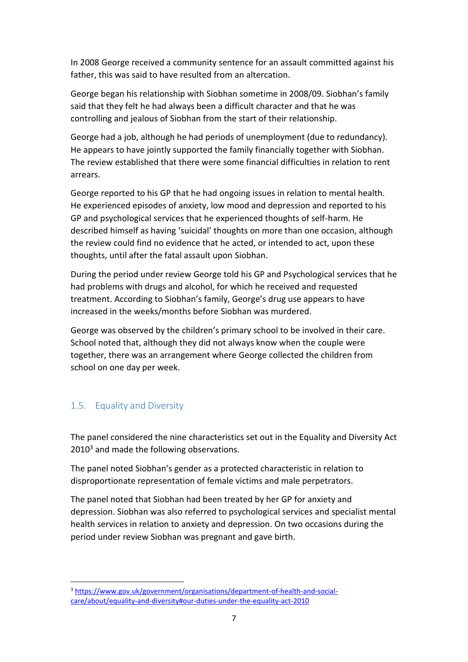In 2008 George received a community sentence for an assault committed against his father, this was said to have resulted from an altercation.

George began his relationship with Siobhan sometime in 2008/09. Siobhan's family said that they felt he had always been a difficult character and that he was controlling and jealous of Siobhan from the start of their relationship.

George had a job, although he had periods of unemployment (due to redundancy). He appears to have jointly supported the family financially together with Siobhan. The review established that there were some financial difficulties in relation to rent arrears.

George reported to his GP that he had ongoing issues in relation to mental health. He experienced episodes of anxiety, low mood and depression and reported to his GP and psychological services that he experienced thoughts of self-harm. He described himself as having 'suicidal' thoughts on more than one occasion, although the review could find no evidence that he acted, or intended to act, upon these thoughts, until after the fatal assault upon Siobhan.

During the period under review George told his GP and Psychological services that he had problems with drugs and alcohol, for which he received and requested treatment. According to Siobhan's family, George's drug use appears to have increased in the weeks/months before Siobhan was murdered.

George was observed by the children's primary school to be involved in their care. School noted that, although they did not always know when the couple were together, there was an arrangement where George collected the children from school on one day per week.

#### 1.5. Equality and Diversity

The panel considered the nine characteristics set out in the Equality and Diversity Act  $2010<sup>3</sup>$  and made the following observations.

The panel noted Siobhan's gender as a protected characteristic in relation to disproportionate representation of female victims and male perpetrators.

The panel noted that Siobhan had been treated by her GP for anxiety and depression. Siobhan was also referred to psychological services and specialist mental health services in relation to anxiety and depression. On two occasions during the period under review Siobhan was pregnant and gave birth.

<sup>3</sup> [https://www.gov.uk/government/organisations/department-of-health-and-social](https://www.gov.uk/government/organisations/department-of-health-and-social-care/about/equality-and-diversity#our-duties-under-the-equality-act-2010)[care/about/equality-and-diversity#our-duties-under-the-equality-act-2010](https://www.gov.uk/government/organisations/department-of-health-and-social-care/about/equality-and-diversity#our-duties-under-the-equality-act-2010)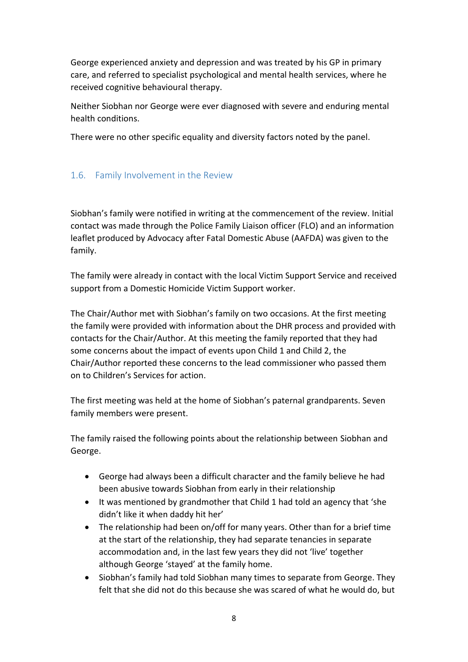George experienced anxiety and depression and was treated by his GP in primary care, and referred to specialist psychological and mental health services, where he received cognitive behavioural therapy.

Neither Siobhan nor George were ever diagnosed with severe and enduring mental health conditions.

There were no other specific equality and diversity factors noted by the panel.

#### 1.6. Family Involvement in the Review

Siobhan's family were notified in writing at the commencement of the review. Initial contact was made through the Police Family Liaison officer (FLO) and an information leaflet produced by Advocacy after Fatal Domestic Abuse (AAFDA) was given to the family.

The family were already in contact with the local Victim Support Service and received support from a Domestic Homicide Victim Support worker.

The Chair/Author met with Siobhan's family on two occasions. At the first meeting the family were provided with information about the DHR process and provided with contacts for the Chair/Author. At this meeting the family reported that they had some concerns about the impact of events upon Child 1 and Child 2, the Chair/Author reported these concerns to the lead commissioner who passed them on to Children's Services for action.

The first meeting was held at the home of Siobhan's paternal grandparents. Seven family members were present.

The family raised the following points about the relationship between Siobhan and George.

- George had always been a difficult character and the family believe he had been abusive towards Siobhan from early in their relationship
- It was mentioned by grandmother that Child 1 had told an agency that 'she didn't like it when daddy hit her'
- The relationship had been on/off for many years. Other than for a brief time at the start of the relationship, they had separate tenancies in separate accommodation and, in the last few years they did not 'live' together although George 'stayed' at the family home.
- Siobhan's family had told Siobhan many times to separate from George. They felt that she did not do this because she was scared of what he would do, but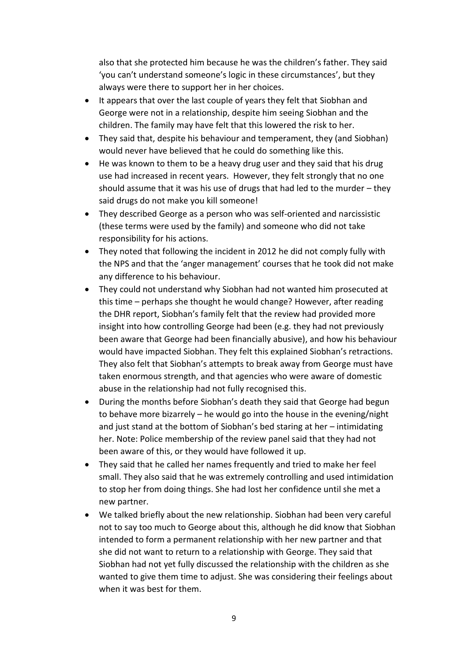also that she protected him because he was the children's father. They said 'you can't understand someone's logic in these circumstances', but they always were there to support her in her choices.

- It appears that over the last couple of years they felt that Siobhan and George were not in a relationship, despite him seeing Siobhan and the children. The family may have felt that this lowered the risk to her.
- They said that, despite his behaviour and temperament, they (and Siobhan) would never have believed that he could do something like this.
- He was known to them to be a heavy drug user and they said that his drug use had increased in recent years. However, they felt strongly that no one should assume that it was his use of drugs that had led to the murder – they said drugs do not make you kill someone!
- They described George as a person who was self-oriented and narcissistic (these terms were used by the family) and someone who did not take responsibility for his actions.
- They noted that following the incident in 2012 he did not comply fully with the NPS and that the 'anger management' courses that he took did not make any difference to his behaviour.
- They could not understand why Siobhan had not wanted him prosecuted at this time – perhaps she thought he would change? However, after reading the DHR report, Siobhan's family felt that the review had provided more insight into how controlling George had been (e.g. they had not previously been aware that George had been financially abusive), and how his behaviour would have impacted Siobhan. They felt this explained Siobhan's retractions. They also felt that Siobhan's attempts to break away from George must have taken enormous strength, and that agencies who were aware of domestic abuse in the relationship had not fully recognised this.
- During the months before Siobhan's death they said that George had begun to behave more bizarrely – he would go into the house in the evening/night and just stand at the bottom of Siobhan's bed staring at her – intimidating her. Note: Police membership of the review panel said that they had not been aware of this, or they would have followed it up.
- They said that he called her names frequently and tried to make her feel small. They also said that he was extremely controlling and used intimidation to stop her from doing things. She had lost her confidence until she met a new partner.
- We talked briefly about the new relationship. Siobhan had been very careful not to say too much to George about this, although he did know that Siobhan intended to form a permanent relationship with her new partner and that she did not want to return to a relationship with George. They said that Siobhan had not yet fully discussed the relationship with the children as she wanted to give them time to adjust. She was considering their feelings about when it was best for them.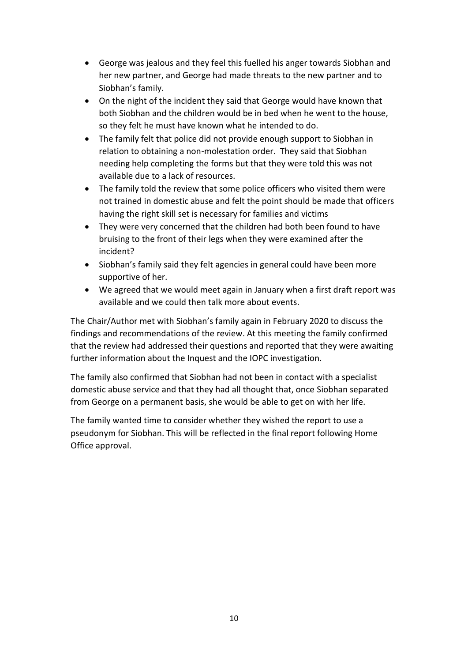- George was jealous and they feel this fuelled his anger towards Siobhan and her new partner, and George had made threats to the new partner and to Siobhan's family.
- On the night of the incident they said that George would have known that both Siobhan and the children would be in bed when he went to the house, so they felt he must have known what he intended to do.
- The family felt that police did not provide enough support to Siobhan in relation to obtaining a non-molestation order. They said that Siobhan needing help completing the forms but that they were told this was not available due to a lack of resources.
- The family told the review that some police officers who visited them were not trained in domestic abuse and felt the point should be made that officers having the right skill set is necessary for families and victims
- They were very concerned that the children had both been found to have bruising to the front of their legs when they were examined after the incident?
- Siobhan's family said they felt agencies in general could have been more supportive of her.
- We agreed that we would meet again in January when a first draft report was available and we could then talk more about events.

The Chair/Author met with Siobhan's family again in February 2020 to discuss the findings and recommendations of the review. At this meeting the family confirmed that the review had addressed their questions and reported that they were awaiting further information about the Inquest and the IOPC investigation.

The family also confirmed that Siobhan had not been in contact with a specialist domestic abuse service and that they had all thought that, once Siobhan separated from George on a permanent basis, she would be able to get on with her life.

The family wanted time to consider whether they wished the report to use a pseudonym for Siobhan. This will be reflected in the final report following Home Office approval.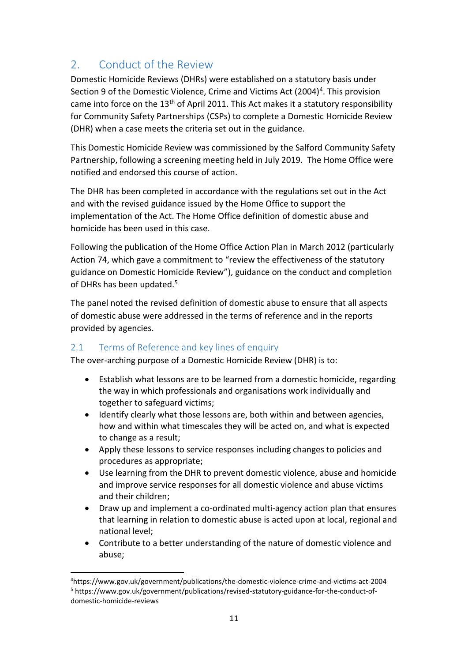# 2 Conduct of the Review

Domestic Homicide Reviews (DHRs) were established on a statutory basis under Section 9 of the Domestic Violence, Crime and Victims Act (2004)<sup>4</sup>. This provision came into force on the 13<sup>th</sup> of April 2011. This Act makes it a statutory responsibility for Community Safety Partnerships (CSPs) to complete a Domestic Homicide Review (DHR) when a case meets the criteria set out in the guidance.

This Domestic Homicide Review was commissioned by the Salford Community Safety Partnership, following a screening meeting held in July 2019. The Home Office were notified and endorsed this course of action.

The DHR has been completed in accordance with the regulations set out in the Act and with the revised guidance issued by the Home Office to support the implementation of the Act. The Home Office definition of domestic abuse and homicide has been used in this case.

Following the publication of the Home Office Action Plan in March 2012 (particularly Action 74, which gave a commitment to "review the effectiveness of the statutory guidance on Domestic Homicide Review"), guidance on the conduct and completion of DHRs has been updated.<sup>5</sup>

The panel noted the revised definition of domestic abuse to ensure that all aspects of domestic abuse were addressed in the terms of reference and in the reports provided by agencies.

#### 2.1 Terms of Reference and key lines of enquiry

The over-arching purpose of a Domestic Homicide Review (DHR) is to:

- Establish what lessons are to be learned from a domestic homicide, regarding the way in which professionals and organisations work individually and together to safeguard victims;
- Identify clearly what those lessons are, both within and between agencies, how and within what timescales they will be acted on, and what is expected to change as a result;
- Apply these lessons to service responses including changes to policies and procedures as appropriate;
- Use learning from the DHR to prevent domestic violence, abuse and homicide and improve service responses for all domestic violence and abuse victims and their children;
- Draw up and implement a co-ordinated multi-agency action plan that ensures that learning in relation to domestic abuse is acted upon at local, regional and national level;
- Contribute to a better understanding of the nature of domestic violence and abuse;

<sup>4</sup>https://www.gov.uk/government/publications/the-domestic-violence-crime-and-victims-act-2004 <sup>5</sup> https://www.gov.uk/government/publications/revised-statutory-guidance-for-the-conduct-ofdomestic-homicide-reviews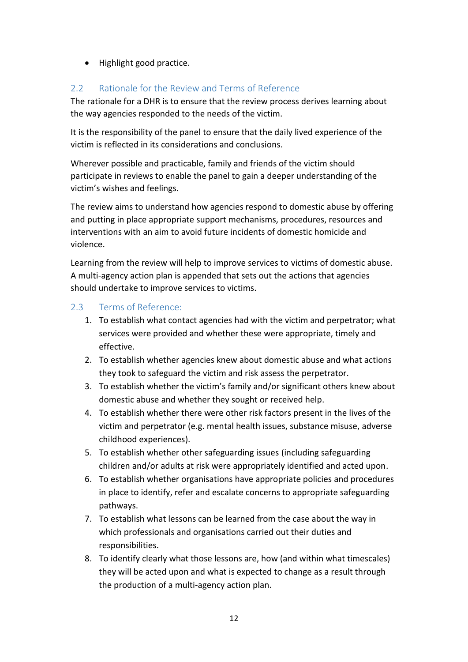• Highlight good practice.

#### 2.2 Rationale for the Review and Terms of Reference

The rationale for a DHR is to ensure that the review process derives learning about the way agencies responded to the needs of the victim.

It is the responsibility of the panel to ensure that the daily lived experience of the victim is reflected in its considerations and conclusions.

Wherever possible and practicable, family and friends of the victim should participate in reviews to enable the panel to gain a deeper understanding of the victim's wishes and feelings.

The review aims to understand how agencies respond to domestic abuse by offering and putting in place appropriate support mechanisms, procedures, resources and interventions with an aim to avoid future incidents of domestic homicide and violence.

Learning from the review will help to improve services to victims of domestic abuse. A multi-agency action plan is appended that sets out the actions that agencies should undertake to improve services to victims.

#### 2.3 Terms of Reference:

- 1. To establish what contact agencies had with the victim and perpetrator; what services were provided and whether these were appropriate, timely and effective.
- 2. To establish whether agencies knew about domestic abuse and what actions they took to safeguard the victim and risk assess the perpetrator.
- 3. To establish whether the victim's family and/or significant others knew about domestic abuse and whether they sought or received help.
- 4. To establish whether there were other risk factors present in the lives of the victim and perpetrator (e.g. mental health issues, substance misuse, adverse childhood experiences).
- 5. To establish whether other safeguarding issues (including safeguarding children and/or adults at risk were appropriately identified and acted upon.
- 6. To establish whether organisations have appropriate policies and procedures in place to identify, refer and escalate concerns to appropriate safeguarding pathways.
- 7. To establish what lessons can be learned from the case about the way in which professionals and organisations carried out their duties and responsibilities.
- 8. To identify clearly what those lessons are, how (and within what timescales) they will be acted upon and what is expected to change as a result through the production of a multi-agency action plan.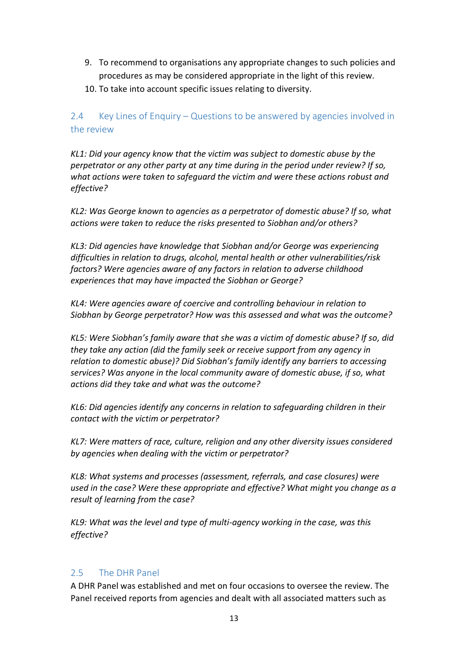- 9. To recommend to organisations any appropriate changes to such policies and procedures as may be considered appropriate in the light of this review.
- 10. To take into account specific issues relating to diversity.

2.4 Key Lines of Enquiry – Questions to be answered by agencies involved in the review

*KL1: Did your agency know that the victim was subject to domestic abuse by the perpetrator or any other party at any time during in the period under review? If so, what actions were taken to safeguard the victim and were these actions robust and effective?*

*KL2: Was George known to agencies as a perpetrator of domestic abuse? If so, what actions were taken to reduce the risks presented to Siobhan and/or others?*

*KL3: Did agencies have knowledge that Siobhan and/or George was experiencing difficulties in relation to drugs, alcohol, mental health or other vulnerabilities/risk factors? Were agencies aware of any factors in relation to adverse childhood experiences that may have impacted the Siobhan or George?*

*KL4: Were agencies aware of coercive and controlling behaviour in relation to Siobhan by George perpetrator? How was this assessed and what was the outcome?*

*KL5: Were Siobhan's family aware that she was a victim of domestic abuse? If so, did they take any action (did the family seek or receive support from any agency in relation to domestic abuse)? Did Siobhan's family identify any barriers to accessing services? Was anyone in the local community aware of domestic abuse, if so, what actions did they take and what was the outcome?*

*KL6: Did agencies identify any concerns in relation to safeguarding children in their contact with the victim or perpetrator?*

*KL7: Were matters of race, culture, religion and any other diversity issues considered by agencies when dealing with the victim or perpetrator?* 

*KL8: What systems and processes (assessment, referrals, and case closures) were used in the case? Were these appropriate and effective? What might you change as a result of learning from the case?*

*KL9: What was the level and type of multi-agency working in the case, was this effective?*

#### 2.5 The DHR Panel

A DHR Panel was established and met on four occasions to oversee the review. The Panel received reports from agencies and dealt with all associated matters such as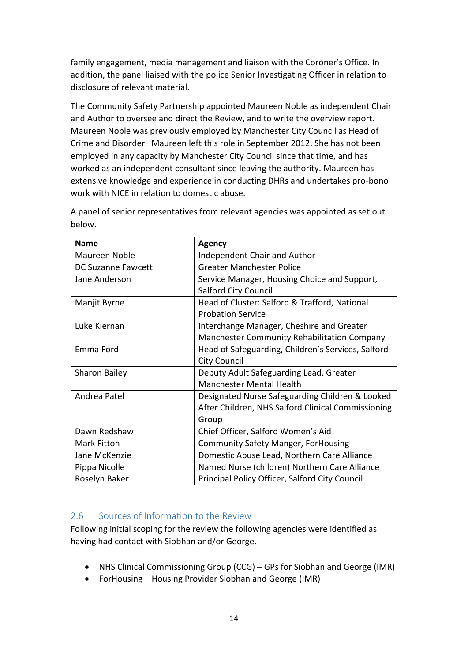family engagement, media management and liaison with the Coroner's Office. In addition, the panel liaised with the police Senior Investigating Officer in relation to disclosure of relevant material.

The Community Safety Partnership appointed Maureen Noble as independent Chair and Author to oversee and direct the Review, and to write the overview report. Maureen Noble was previously employed by Manchester City Council as Head of Crime and Disorder. Maureen left this role in September 2012. She has not been employed in any capacity by Manchester City Council since that time, and has worked as an independent consultant since leaving the authority. Maureen has extensive knowledge and experience in conducting DHRs and undertakes pro-bono work with NICE in relation to domestic abuse.

| <b>Name</b>               | <b>Agency</b>                                      |
|---------------------------|----------------------------------------------------|
| Maureen Noble             | <b>Independent Chair and Author</b>                |
| <b>DC Suzanne Fawcett</b> | <b>Greater Manchester Police</b>                   |
| Jane Anderson             | Service Manager, Housing Choice and Support,       |
|                           | <b>Salford City Council</b>                        |
| Manjit Byrne              | Head of Cluster: Salford & Trafford, National      |
|                           | <b>Probation Service</b>                           |
| Luke Kiernan              | Interchange Manager, Cheshire and Greater          |
|                           | Manchester Community Rehabilitation Company        |
| Emma Ford                 | Head of Safeguarding, Children's Services, Salford |
|                           | <b>City Council</b>                                |
| Sharon Bailey             | Deputy Adult Safeguarding Lead, Greater            |
|                           | <b>Manchester Mental Health</b>                    |
| Andrea Patel              | Designated Nurse Safeguarding Children & Looked    |
|                           | After Children, NHS Salford Clinical Commissioning |
|                           | Group                                              |
| Dawn Redshaw              | Chief Officer, Salford Women's Aid                 |
| <b>Mark Fitton</b>        | <b>Community Safety Manger, ForHousing</b>         |
| Jane McKenzie             | Domestic Abuse Lead, Northern Care Alliance        |
| Pippa Nicolle             | Named Nurse (children) Northern Care Alliance      |
| Roselyn Baker             | Principal Policy Officer, Salford City Council     |

A panel of senior representatives from relevant agencies was appointed as set out below.

#### 2.6 Sources of Information to the Review

Following initial scoping for the review the following agencies were identified as having had contact with Siobhan and/or George.

- NHS Clinical Commissioning Group (CCG) GPs for Siobhan and George (IMR)
- ForHousing Housing Provider Siobhan and George (IMR)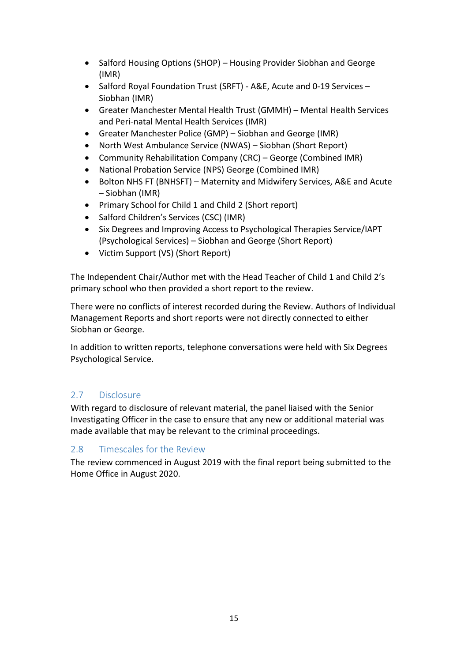- Salford Housing Options (SHOP) Housing Provider Siobhan and George (IMR)
- Salford Royal Foundation Trust (SRFT) A&E, Acute and 0-19 Services Siobhan (IMR)
- Greater Manchester Mental Health Trust (GMMH) Mental Health Services and Peri-natal Mental Health Services (IMR)
- Greater Manchester Police (GMP) Siobhan and George (IMR)
- North West Ambulance Service (NWAS) Siobhan (Short Report)
- Community Rehabilitation Company (CRC) George (Combined IMR)
- National Probation Service (NPS) George (Combined IMR)
- Bolton NHS FT (BNHSFT) Maternity and Midwifery Services, A&E and Acute – Siobhan (IMR)
- Primary School for Child 1 and Child 2 (Short report)
- Salford Children's Services (CSC) (IMR)
- Six Degrees and Improving Access to Psychological Therapies Service/IAPT (Psychological Services) – Siobhan and George (Short Report)
- Victim Support (VS) (Short Report)

The Independent Chair/Author met with the Head Teacher of Child 1 and Child 2's primary school who then provided a short report to the review.

There were no conflicts of interest recorded during the Review. Authors of Individual Management Reports and short reports were not directly connected to either Siobhan or George.

In addition to written reports, telephone conversations were held with Six Degrees Psychological Service.

#### 2.7 Disclosure

With regard to disclosure of relevant material, the panel liaised with the Senior Investigating Officer in the case to ensure that any new or additional material was made available that may be relevant to the criminal proceedings.

#### 2.8 Timescales for the Review

The review commenced in August 2019 with the final report being submitted to the Home Office in August 2020.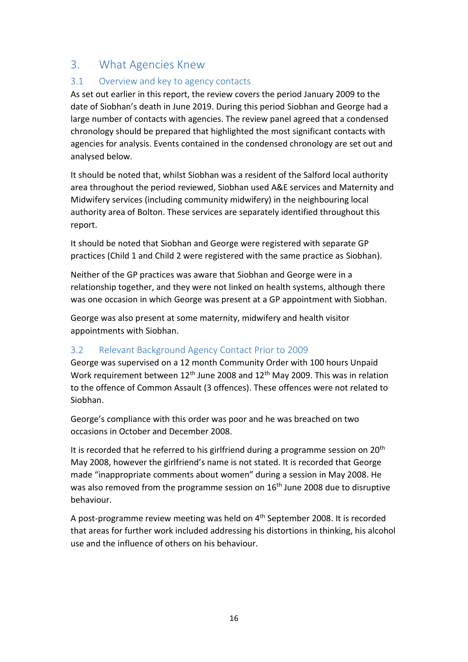# 3. What Agencies Knew

#### 3.1 Overview and key to agency contacts

As set out earlier in this report, the review covers the period January 2009 to the date of Siobhan's death in June 2019. During this period Siobhan and George had a large number of contacts with agencies. The review panel agreed that a condensed chronology should be prepared that highlighted the most significant contacts with agencies for analysis. Events contained in the condensed chronology are set out and analysed below.

It should be noted that, whilst Siobhan was a resident of the Salford local authority area throughout the period reviewed, Siobhan used A&E services and Maternity and Midwifery services (including community midwifery) in the neighbouring local authority area of Bolton. These services are separately identified throughout this report.

It should be noted that Siobhan and George were registered with separate GP practices (Child 1 and Child 2 were registered with the same practice as Siobhan).

Neither of the GP practices was aware that Siobhan and George were in a relationship together, and they were not linked on health systems, although there was one occasion in which George was present at a GP appointment with Siobhan.

George was also present at some maternity, midwifery and health visitor appointments with Siobhan.

#### 3.2 Relevant Background Agency Contact Prior to 2009

George was supervised on a 12 month Community Order with 100 hours Unpaid Work requirement between  $12<sup>th</sup>$  June 2008 and  $12<sup>th</sup>$  May 2009. This was in relation to the offence of Common Assault (3 offences). These offences were not related to Siobhan.

George's compliance with this order was poor and he was breached on two occasions in October and December 2008.

It is recorded that he referred to his girlfriend during a programme session on 20<sup>th</sup> May 2008, however the girlfriend's name is not stated. It is recorded that George made "inappropriate comments about women" during a session in May 2008. He was also removed from the programme session on 16<sup>th</sup> June 2008 due to disruptive behaviour.

A post-programme review meeting was held on 4th September 2008. It is recorded that areas for further work included addressing his distortions in thinking, his alcohol use and the influence of others on his behaviour.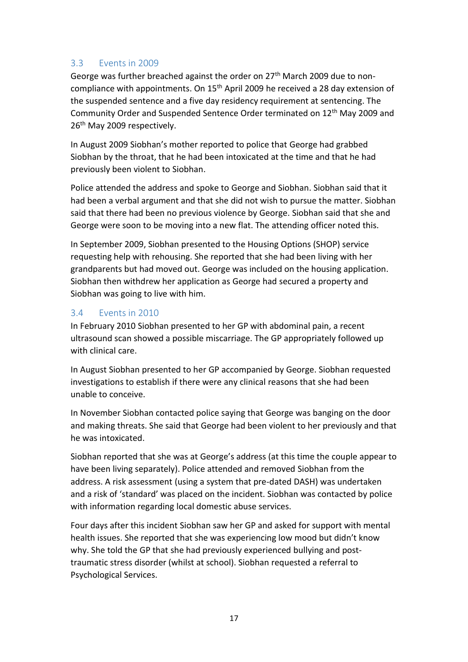#### 3.3 Events in 2009

George was further breached against the order on 27th March 2009 due to noncompliance with appointments. On 15th April 2009 he received a 28 day extension of the suspended sentence and a five day residency requirement at sentencing. The Community Order and Suspended Sentence Order terminated on 12<sup>th</sup> May 2009 and 26<sup>th</sup> May 2009 respectively.

In August 2009 Siobhan's mother reported to police that George had grabbed Siobhan by the throat, that he had been intoxicated at the time and that he had previously been violent to Siobhan.

Police attended the address and spoke to George and Siobhan. Siobhan said that it had been a verbal argument and that she did not wish to pursue the matter. Siobhan said that there had been no previous violence by George. Siobhan said that she and George were soon to be moving into a new flat. The attending officer noted this.

In September 2009, Siobhan presented to the Housing Options (SHOP) service requesting help with rehousing. She reported that she had been living with her grandparents but had moved out. George was included on the housing application. Siobhan then withdrew her application as George had secured a property and Siobhan was going to live with him.

#### 3.4 Events in 2010

In February 2010 Siobhan presented to her GP with abdominal pain, a recent ultrasound scan showed a possible miscarriage. The GP appropriately followed up with clinical care.

In August Siobhan presented to her GP accompanied by George. Siobhan requested investigations to establish if there were any clinical reasons that she had been unable to conceive.

In November Siobhan contacted police saying that George was banging on the door and making threats. She said that George had been violent to her previously and that he was intoxicated.

Siobhan reported that she was at George's address (at this time the couple appear to have been living separately). Police attended and removed Siobhan from the address. A risk assessment (using a system that pre-dated DASH) was undertaken and a risk of 'standard' was placed on the incident. Siobhan was contacted by police with information regarding local domestic abuse services.

Four days after this incident Siobhan saw her GP and asked for support with mental health issues. She reported that she was experiencing low mood but didn't know why. She told the GP that she had previously experienced bullying and posttraumatic stress disorder (whilst at school). Siobhan requested a referral to Psychological Services.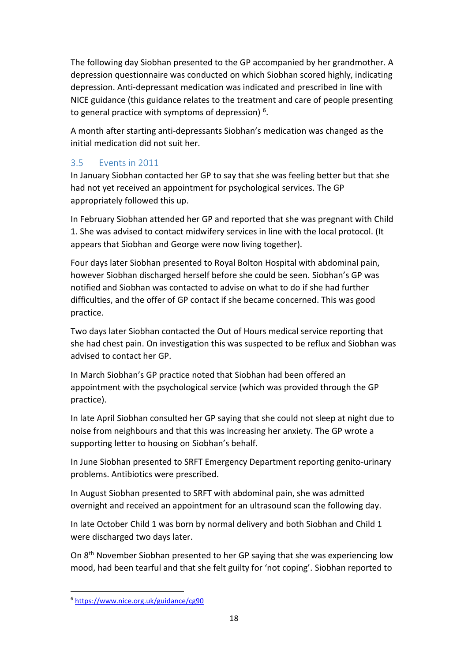The following day Siobhan presented to the GP accompanied by her grandmother. A depression questionnaire was conducted on which Siobhan scored highly, indicating depression. Anti-depressant medication was indicated and prescribed in line with NICE guidance (this guidance relates to the treatment and care of people presenting to general practice with symptoms of depression)<sup>6</sup>.

A month after starting anti-depressants Siobhan's medication was changed as the initial medication did not suit her.

### 3.5 Events in 2011

In January Siobhan contacted her GP to say that she was feeling better but that she had not yet received an appointment for psychological services. The GP appropriately followed this up.

In February Siobhan attended her GP and reported that she was pregnant with Child 1. She was advised to contact midwifery services in line with the local protocol. (It appears that Siobhan and George were now living together).

Four days later Siobhan presented to Royal Bolton Hospital with abdominal pain, however Siobhan discharged herself before she could be seen. Siobhan's GP was notified and Siobhan was contacted to advise on what to do if she had further difficulties, and the offer of GP contact if she became concerned. This was good practice.

Two days later Siobhan contacted the Out of Hours medical service reporting that she had chest pain. On investigation this was suspected to be reflux and Siobhan was advised to contact her GP.

In March Siobhan's GP practice noted that Siobhan had been offered an appointment with the psychological service (which was provided through the GP practice).

In late April Siobhan consulted her GP saying that she could not sleep at night due to noise from neighbours and that this was increasing her anxiety. The GP wrote a supporting letter to housing on Siobhan's behalf.

In June Siobhan presented to SRFT Emergency Department reporting genito-urinary problems. Antibiotics were prescribed.

In August Siobhan presented to SRFT with abdominal pain, she was admitted overnight and received an appointment for an ultrasound scan the following day.

In late October Child 1 was born by normal delivery and both Siobhan and Child 1 were discharged two days later.

On 8th November Siobhan presented to her GP saying that she was experiencing low mood, had been tearful and that she felt guilty for 'not coping'. Siobhan reported to

<sup>6</sup> <https://www.nice.org.uk/guidance/cg90>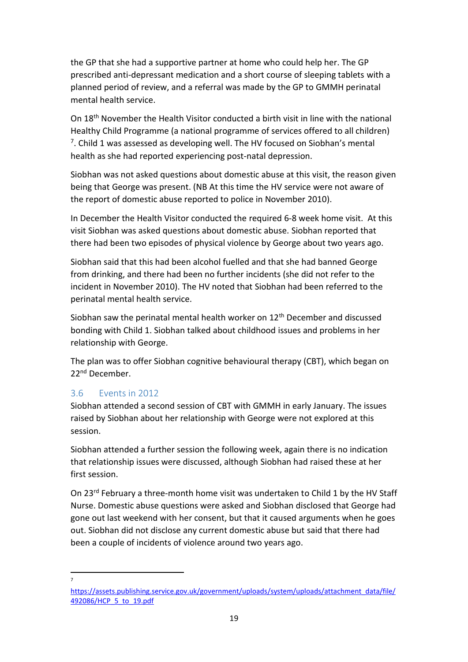the GP that she had a supportive partner at home who could help her. The GP prescribed anti-depressant medication and a short course of sleeping tablets with a planned period of review, and a referral was made by the GP to GMMH perinatal mental health service.

On 18th November the Health Visitor conducted a birth visit in line with the national Healthy Child Programme (a national programme of services offered to all children)  $7$ . Child 1 was assessed as developing well. The HV focused on Siobhan's mental health as she had reported experiencing post-natal depression.

Siobhan was not asked questions about domestic abuse at this visit, the reason given being that George was present. (NB At this time the HV service were not aware of the report of domestic abuse reported to police in November 2010).

In December the Health Visitor conducted the required 6-8 week home visit. At this visit Siobhan was asked questions about domestic abuse. Siobhan reported that there had been two episodes of physical violence by George about two years ago.

Siobhan said that this had been alcohol fuelled and that she had banned George from drinking, and there had been no further incidents (she did not refer to the incident in November 2010). The HV noted that Siobhan had been referred to the perinatal mental health service.

Siobhan saw the perinatal mental health worker on 12<sup>th</sup> December and discussed bonding with Child 1. Siobhan talked about childhood issues and problems in her relationship with George.

The plan was to offer Siobhan cognitive behavioural therapy (CBT), which began on 22nd December.

#### 3.6 Events in 2012

Siobhan attended a second session of CBT with GMMH in early January. The issues raised by Siobhan about her relationship with George were not explored at this session.

Siobhan attended a further session the following week, again there is no indication that relationship issues were discussed, although Siobhan had raised these at her first session.

On 23rd February a three-month home visit was undertaken to Child 1 by the HV Staff Nurse. Domestic abuse questions were asked and Siobhan disclosed that George had gone out last weekend with her consent, but that it caused arguments when he goes out. Siobhan did not disclose any current domestic abuse but said that there had been a couple of incidents of violence around two years ago.

7

[https://assets.publishing.service.gov.uk/government/uploads/system/uploads/attachment\\_data/file/](https://assets.publishing.service.gov.uk/government/uploads/system/uploads/attachment_data/file/492086/HCP_5_to_19.pdf) [492086/HCP\\_5\\_to\\_19.pdf](https://assets.publishing.service.gov.uk/government/uploads/system/uploads/attachment_data/file/492086/HCP_5_to_19.pdf)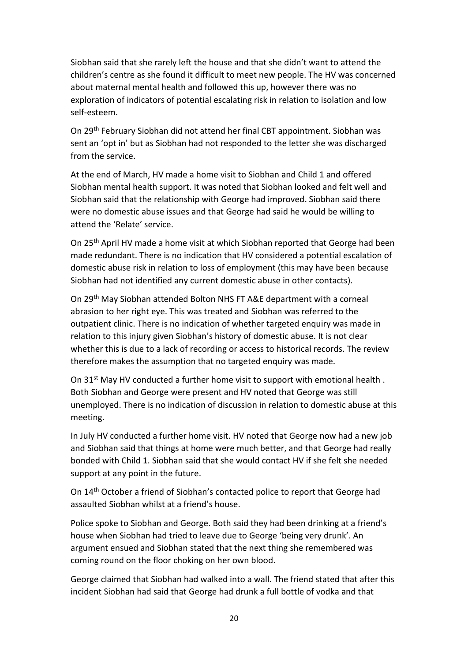Siobhan said that she rarely left the house and that she didn't want to attend the children's centre as she found it difficult to meet new people. The HV was concerned about maternal mental health and followed this up, however there was no exploration of indicators of potential escalating risk in relation to isolation and low self-esteem.

On 29th February Siobhan did not attend her final CBT appointment. Siobhan was sent an 'opt in' but as Siobhan had not responded to the letter she was discharged from the service.

At the end of March, HV made a home visit to Siobhan and Child 1 and offered Siobhan mental health support. It was noted that Siobhan looked and felt well and Siobhan said that the relationship with George had improved. Siobhan said there were no domestic abuse issues and that George had said he would be willing to attend the 'Relate' service.

On 25th April HV made a home visit at which Siobhan reported that George had been made redundant. There is no indication that HV considered a potential escalation of domestic abuse risk in relation to loss of employment (this may have been because Siobhan had not identified any current domestic abuse in other contacts).

On 29th May Siobhan attended Bolton NHS FT A&E department with a corneal abrasion to her right eye. This was treated and Siobhan was referred to the outpatient clinic. There is no indication of whether targeted enquiry was made in relation to this injury given Siobhan's history of domestic abuse. It is not clear whether this is due to a lack of recording or access to historical records. The review therefore makes the assumption that no targeted enquiry was made.

On 31<sup>st</sup> May HV conducted a further home visit to support with emotional health. Both Siobhan and George were present and HV noted that George was still unemployed. There is no indication of discussion in relation to domestic abuse at this meeting.

In July HV conducted a further home visit. HV noted that George now had a new job and Siobhan said that things at home were much better, and that George had really bonded with Child 1. Siobhan said that she would contact HV if she felt she needed support at any point in the future.

On 14th October a friend of Siobhan's contacted police to report that George had assaulted Siobhan whilst at a friend's house.

Police spoke to Siobhan and George. Both said they had been drinking at a friend's house when Siobhan had tried to leave due to George 'being very drunk'. An argument ensued and Siobhan stated that the next thing she remembered was coming round on the floor choking on her own blood.

George claimed that Siobhan had walked into a wall. The friend stated that after this incident Siobhan had said that George had drunk a full bottle of vodka and that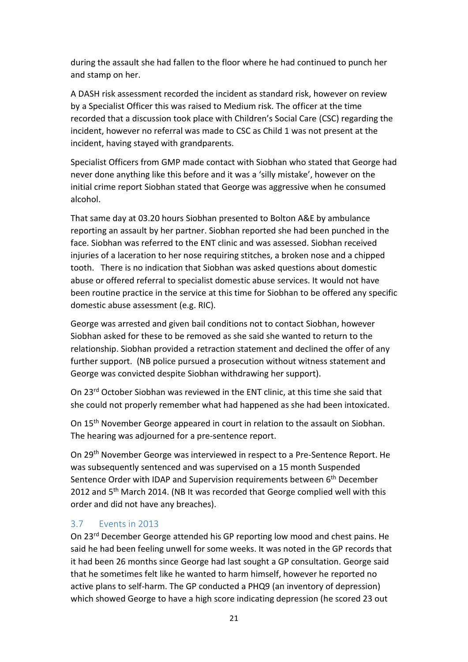during the assault she had fallen to the floor where he had continued to punch her and stamp on her.

A DASH risk assessment recorded the incident as standard risk, however on review by a Specialist Officer this was raised to Medium risk. The officer at the time recorded that a discussion took place with Children's Social Care (CSC) regarding the incident, however no referral was made to CSC as Child 1 was not present at the incident, having stayed with grandparents.

Specialist Officers from GMP made contact with Siobhan who stated that George had never done anything like this before and it was a 'silly mistake', however on the initial crime report Siobhan stated that George was aggressive when he consumed alcohol.

That same day at 03.20 hours Siobhan presented to Bolton A&E by ambulance reporting an assault by her partner. Siobhan reported she had been punched in the face. Siobhan was referred to the ENT clinic and was assessed. Siobhan received injuries of a laceration to her nose requiring stitches, a broken nose and a chipped tooth. There is no indication that Siobhan was asked questions about domestic abuse or offered referral to specialist domestic abuse services. It would not have been routine practice in the service at this time for Siobhan to be offered any specific domestic abuse assessment (e.g. RIC).

George was arrested and given bail conditions not to contact Siobhan, however Siobhan asked for these to be removed as she said she wanted to return to the relationship. Siobhan provided a retraction statement and declined the offer of any further support. (NB police pursued a prosecution without witness statement and George was convicted despite Siobhan withdrawing her support).

On 23rd October Siobhan was reviewed in the ENT clinic, at this time she said that she could not properly remember what had happened as she had been intoxicated.

On 15th November George appeared in court in relation to the assault on Siobhan. The hearing was adjourned for a pre-sentence report.

On 29th November George was interviewed in respect to a Pre-Sentence Report. He was subsequently sentenced and was supervised on a 15 month Suspended Sentence Order with IDAP and Supervision requirements between 6<sup>th</sup> December 2012 and 5<sup>th</sup> March 2014. (NB It was recorded that George complied well with this order and did not have any breaches).

#### 3.7 Events in 2013

On 23rd December George attended his GP reporting low mood and chest pains. He said he had been feeling unwell for some weeks. It was noted in the GP records that it had been 26 months since George had last sought a GP consultation. George said that he sometimes felt like he wanted to harm himself, however he reported no active plans to self-harm. The GP conducted a PHQ9 (an inventory of depression) which showed George to have a high score indicating depression (he scored 23 out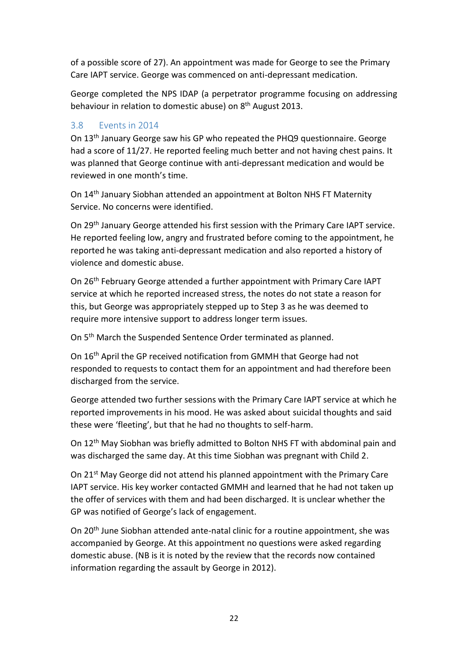of a possible score of 27). An appointment was made for George to see the Primary Care IAPT service. George was commenced on anti-depressant medication.

George completed the NPS IDAP (a perpetrator programme focusing on addressing behaviour in relation to domestic abuse) on 8th August 2013.

#### 3.8 Events in 2014

On 13th January George saw his GP who repeated the PHQ9 questionnaire. George had a score of 11/27. He reported feeling much better and not having chest pains. It was planned that George continue with anti-depressant medication and would be reviewed in one month's time.

On 14th January Siobhan attended an appointment at Bolton NHS FT Maternity Service. No concerns were identified.

On 29th January George attended his first session with the Primary Care IAPT service. He reported feeling low, angry and frustrated before coming to the appointment, he reported he was taking anti-depressant medication and also reported a history of violence and domestic abuse.

On 26th February George attended a further appointment with Primary Care IAPT service at which he reported increased stress, the notes do not state a reason for this, but George was appropriately stepped up to Step 3 as he was deemed to require more intensive support to address longer term issues.

On 5th March the Suspended Sentence Order terminated as planned.

On 16th April the GP received notification from GMMH that George had not responded to requests to contact them for an appointment and had therefore been discharged from the service.

George attended two further sessions with the Primary Care IAPT service at which he reported improvements in his mood. He was asked about suicidal thoughts and said these were 'fleeting', but that he had no thoughts to self-harm.

On 12th May Siobhan was briefly admitted to Bolton NHS FT with abdominal pain and was discharged the same day. At this time Siobhan was pregnant with Child 2.

On 21<sup>st</sup> May George did not attend his planned appointment with the Primary Care IAPT service. His key worker contacted GMMH and learned that he had not taken up the offer of services with them and had been discharged. It is unclear whether the GP was notified of George's lack of engagement.

On 20th June Siobhan attended ante-natal clinic for a routine appointment, she was accompanied by George. At this appointment no questions were asked regarding domestic abuse. (NB is it is noted by the review that the records now contained information regarding the assault by George in 2012).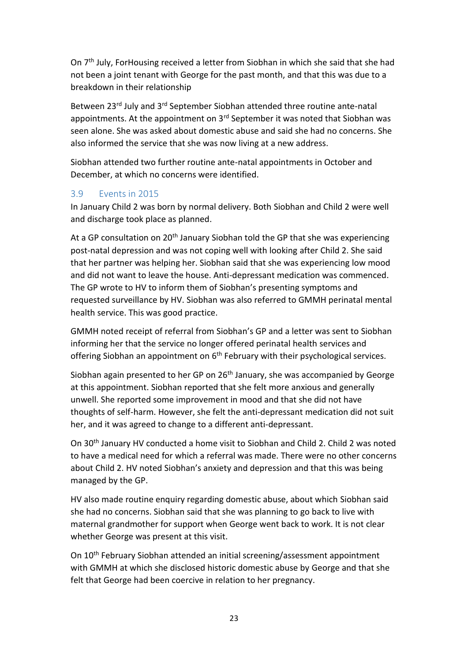On 7<sup>th</sup> July, ForHousing received a letter from Siobhan in which she said that she had not been a joint tenant with George for the past month, and that this was due to a breakdown in their relationship

Between 23rd July and 3rd September Siobhan attended three routine ante-natal appointments. At the appointment on 3<sup>rd</sup> September it was noted that Siobhan was seen alone. She was asked about domestic abuse and said she had no concerns. She also informed the service that she was now living at a new address.

Siobhan attended two further routine ante-natal appointments in October and December, at which no concerns were identified.

#### 3.9 Events in 2015

In January Child 2 was born by normal delivery. Both Siobhan and Child 2 were well and discharge took place as planned.

At a GP consultation on  $20<sup>th</sup>$  January Siobhan told the GP that she was experiencing post-natal depression and was not coping well with looking after Child 2. She said that her partner was helping her. Siobhan said that she was experiencing low mood and did not want to leave the house. Anti-depressant medication was commenced. The GP wrote to HV to inform them of Siobhan's presenting symptoms and requested surveillance by HV. Siobhan was also referred to GMMH perinatal mental health service. This was good practice.

GMMH noted receipt of referral from Siobhan's GP and a letter was sent to Siobhan informing her that the service no longer offered perinatal health services and offering Siobhan an appointment on  $6<sup>th</sup>$  February with their psychological services.

Siobhan again presented to her GP on 26<sup>th</sup> January, she was accompanied by George at this appointment. Siobhan reported that she felt more anxious and generally unwell. She reported some improvement in mood and that she did not have thoughts of self-harm. However, she felt the anti-depressant medication did not suit her, and it was agreed to change to a different anti-depressant.

On 30th January HV conducted a home visit to Siobhan and Child 2. Child 2 was noted to have a medical need for which a referral was made. There were no other concerns about Child 2. HV noted Siobhan's anxiety and depression and that this was being managed by the GP.

HV also made routine enquiry regarding domestic abuse, about which Siobhan said she had no concerns. Siobhan said that she was planning to go back to live with maternal grandmother for support when George went back to work. It is not clear whether George was present at this visit.

On 10th February Siobhan attended an initial screening/assessment appointment with GMMH at which she disclosed historic domestic abuse by George and that she felt that George had been coercive in relation to her pregnancy.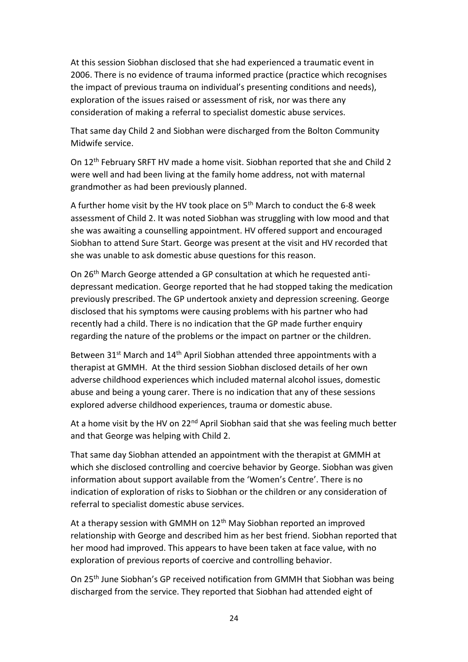At this session Siobhan disclosed that she had experienced a traumatic event in 2006. There is no evidence of trauma informed practice (practice which recognises the impact of previous trauma on individual's presenting conditions and needs), exploration of the issues raised or assessment of risk, nor was there any consideration of making a referral to specialist domestic abuse services.

That same day Child 2 and Siobhan were discharged from the Bolton Community Midwife service.

On 12th February SRFT HV made a home visit. Siobhan reported that she and Child 2 were well and had been living at the family home address, not with maternal grandmother as had been previously planned.

A further home visit by the HV took place on 5th March to conduct the 6-8 week assessment of Child 2. It was noted Siobhan was struggling with low mood and that she was awaiting a counselling appointment. HV offered support and encouraged Siobhan to attend Sure Start. George was present at the visit and HV recorded that she was unable to ask domestic abuse questions for this reason.

On 26th March George attended a GP consultation at which he requested antidepressant medication. George reported that he had stopped taking the medication previously prescribed. The GP undertook anxiety and depression screening. George disclosed that his symptoms were causing problems with his partner who had recently had a child. There is no indication that the GP made further enquiry regarding the nature of the problems or the impact on partner or the children.

Between 31<sup>st</sup> March and 14<sup>th</sup> April Siobhan attended three appointments with a therapist at GMMH. At the third session Siobhan disclosed details of her own adverse childhood experiences which included maternal alcohol issues, domestic abuse and being a young carer. There is no indication that any of these sessions explored adverse childhood experiences, trauma or domestic abuse.

At a home visit by the HV on  $22^{nd}$  April Siobhan said that she was feeling much better and that George was helping with Child 2.

That same day Siobhan attended an appointment with the therapist at GMMH at which she disclosed controlling and coercive behavior by George. Siobhan was given information about support available from the 'Women's Centre'. There is no indication of exploration of risks to Siobhan or the children or any consideration of referral to specialist domestic abuse services.

At a therapy session with GMMH on  $12<sup>th</sup>$  May Siobhan reported an improved relationship with George and described him as her best friend. Siobhan reported that her mood had improved. This appears to have been taken at face value, with no exploration of previous reports of coercive and controlling behavior.

On 25th June Siobhan's GP received notification from GMMH that Siobhan was being discharged from the service. They reported that Siobhan had attended eight of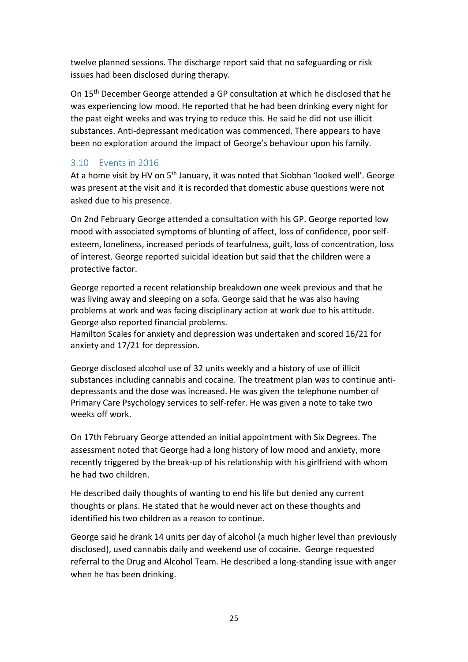twelve planned sessions. The discharge report said that no safeguarding or risk issues had been disclosed during therapy.

On 15th December George attended a GP consultation at which he disclosed that he was experiencing low mood. He reported that he had been drinking every night for the past eight weeks and was trying to reduce this. He said he did not use illicit substances. Anti-depressant medication was commenced. There appears to have been no exploration around the impact of George's behaviour upon his family.

#### 3.10 Events in 2016

At a home visit by HV on 5<sup>th</sup> January, it was noted that Siobhan 'looked well'. George was present at the visit and it is recorded that domestic abuse questions were not asked due to his presence.

On 2nd February George attended a consultation with his GP. George reported low mood with associated symptoms of blunting of affect, loss of confidence, poor selfesteem, loneliness, increased periods of tearfulness, guilt, loss of concentration, loss of interest. George reported suicidal ideation but said that the children were a protective factor.

George reported a recent relationship breakdown one week previous and that he was living away and sleeping on a sofa. George said that he was also having problems at work and was facing disciplinary action at work due to his attitude. George also reported financial problems.

Hamilton Scales for anxiety and depression was undertaken and scored 16/21 for anxiety and 17/21 for depression.

George disclosed alcohol use of 32 units weekly and a history of use of illicit substances including cannabis and cocaine. The treatment plan was to continue antidepressants and the dose was increased. He was given the telephone number of Primary Care Psychology services to self-refer. He was given a note to take two weeks off work.

On 17th February George attended an initial appointment with Six Degrees. The assessment noted that George had a long history of low mood and anxiety, more recently triggered by the break-up of his relationship with his girlfriend with whom he had two children.

He described daily thoughts of wanting to end his life but denied any current thoughts or plans. He stated that he would never act on these thoughts and identified his two children as a reason to continue.

George said he drank 14 units per day of alcohol (a much higher level than previously disclosed), used cannabis daily and weekend use of cocaine. George requested referral to the Drug and Alcohol Team. He described a long-standing issue with anger when he has been drinking.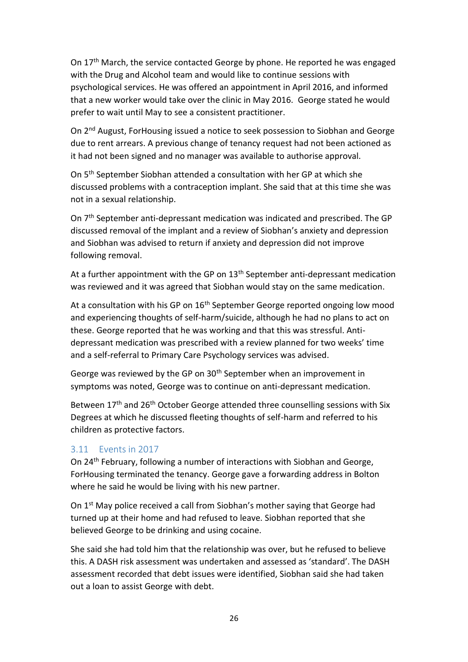On 17<sup>th</sup> March, the service contacted George by phone. He reported he was engaged with the Drug and Alcohol team and would like to continue sessions with psychological services. He was offered an appointment in April 2016, and informed that a new worker would take over the clinic in May 2016. George stated he would prefer to wait until May to see a consistent practitioner.

On 2nd August, ForHousing issued a notice to seek possession to Siobhan and George due to rent arrears. A previous change of tenancy request had not been actioned as it had not been signed and no manager was available to authorise approval.

On 5th September Siobhan attended a consultation with her GP at which she discussed problems with a contraception implant. She said that at this time she was not in a sexual relationship.

On 7th September anti-depressant medication was indicated and prescribed. The GP discussed removal of the implant and a review of Siobhan's anxiety and depression and Siobhan was advised to return if anxiety and depression did not improve following removal.

At a further appointment with the GP on  $13<sup>th</sup>$  September anti-depressant medication was reviewed and it was agreed that Siobhan would stay on the same medication.

At a consultation with his GP on  $16<sup>th</sup>$  September George reported ongoing low mood and experiencing thoughts of self-harm/suicide, although he had no plans to act on these. George reported that he was working and that this was stressful. Antidepressant medication was prescribed with a review planned for two weeks' time and a self-referral to Primary Care Psychology services was advised.

George was reviewed by the GP on 30<sup>th</sup> September when an improvement in symptoms was noted, George was to continue on anti-depressant medication.

Between 17<sup>th</sup> and 26<sup>th</sup> October George attended three counselling sessions with Six Degrees at which he discussed fleeting thoughts of self-harm and referred to his children as protective factors.

#### 3.11 Events in 2017

On 24th February, following a number of interactions with Siobhan and George, ForHousing terminated the tenancy. George gave a forwarding address in Bolton where he said he would be living with his new partner.

On 1<sup>st</sup> May police received a call from Siobhan's mother saying that George had turned up at their home and had refused to leave. Siobhan reported that she believed George to be drinking and using cocaine.

She said she had told him that the relationship was over, but he refused to believe this. A DASH risk assessment was undertaken and assessed as 'standard'. The DASH assessment recorded that debt issues were identified, Siobhan said she had taken out a loan to assist George with debt.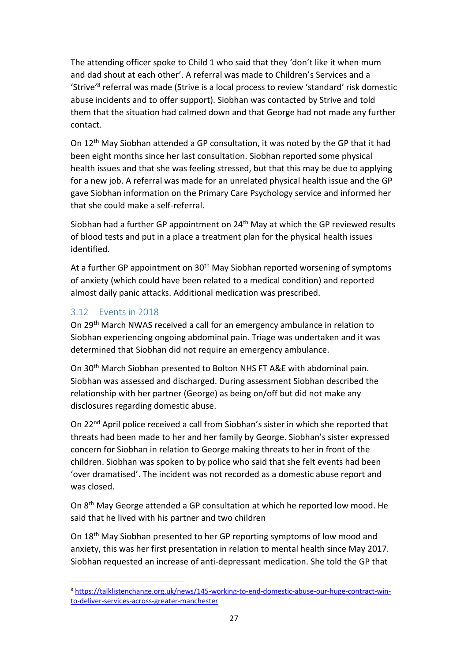The attending officer spoke to Child 1 who said that they 'don't like it when mum and dad shout at each other'. A referral was made to Children's Services and a 'Strive<sup>'8</sup> referral was made (Strive is a local process to review 'standard' risk domestic abuse incidents and to offer support). Siobhan was contacted by Strive and told them that the situation had calmed down and that George had not made any further contact.

On 12th May Siobhan attended a GP consultation, it was noted by the GP that it had been eight months since her last consultation. Siobhan reported some physical health issues and that she was feeling stressed, but that this may be due to applying for a new job. A referral was made for an unrelated physical health issue and the GP gave Siobhan information on the Primary Care Psychology service and informed her that she could make a self-referral.

Siobhan had a further GP appointment on 24<sup>th</sup> May at which the GP reviewed results of blood tests and put in a place a treatment plan for the physical health issues identified.

At a further GP appointment on 30<sup>th</sup> May Siobhan reported worsening of symptoms of anxiety (which could have been related to a medical condition) and reported almost daily panic attacks. Additional medication was prescribed.

#### 3.12 Events in 2018

On 29th March NWAS received a call for an emergency ambulance in relation to Siobhan experiencing ongoing abdominal pain. Triage was undertaken and it was determined that Siobhan did not require an emergency ambulance.

On 30th March Siobhan presented to Bolton NHS FT A&E with abdominal pain. Siobhan was assessed and discharged. During assessment Siobhan described the relationship with her partner (George) as being on/off but did not make any disclosures regarding domestic abuse.

On 22nd April police received a call from Siobhan's sister in which she reported that threats had been made to her and her family by George. Siobhan's sister expressed concern for Siobhan in relation to George making threats to her in front of the children. Siobhan was spoken to by police who said that she felt events had been 'over dramatised'. The incident was not recorded as a domestic abuse report and was closed.

On 8th May George attended a GP consultation at which he reported low mood. He said that he lived with his partner and two children

On 18th May Siobhan presented to her GP reporting symptoms of low mood and anxiety, this was her first presentation in relation to mental health since May 2017. Siobhan requested an increase of anti-depressant medication. She told the GP that

<sup>8</sup> [https://talklistenchange.org.uk/news/145-working-to-end-domestic-abuse-our-huge-contract-win](https://talklistenchange.org.uk/news/145-working-to-end-domestic-abuse-our-huge-contract-win-to-deliver-services-across-greater-manchester)[to-deliver-services-across-greater-manchester](https://talklistenchange.org.uk/news/145-working-to-end-domestic-abuse-our-huge-contract-win-to-deliver-services-across-greater-manchester)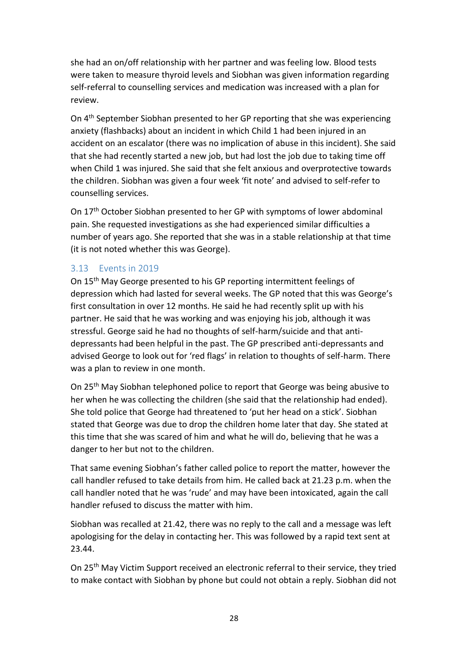she had an on/off relationship with her partner and was feeling low. Blood tests were taken to measure thyroid levels and Siobhan was given information regarding self-referral to counselling services and medication was increased with a plan for review.

On 4th September Siobhan presented to her GP reporting that she was experiencing anxiety (flashbacks) about an incident in which Child 1 had been injured in an accident on an escalator (there was no implication of abuse in this incident). She said that she had recently started a new job, but had lost the job due to taking time off when Child 1 was injured. She said that she felt anxious and overprotective towards the children. Siobhan was given a four week 'fit note' and advised to self-refer to counselling services.

On 17th October Siobhan presented to her GP with symptoms of lower abdominal pain. She requested investigations as she had experienced similar difficulties a number of years ago. She reported that she was in a stable relationship at that time (it is not noted whether this was George).

#### 3.13 Events in 2019

On 15th May George presented to his GP reporting intermittent feelings of depression which had lasted for several weeks. The GP noted that this was George's first consultation in over 12 months. He said he had recently split up with his partner. He said that he was working and was enjoying his job, although it was stressful. George said he had no thoughts of self-harm/suicide and that antidepressants had been helpful in the past. The GP prescribed anti-depressants and advised George to look out for 'red flags' in relation to thoughts of self-harm. There was a plan to review in one month.

On 25th May Siobhan telephoned police to report that George was being abusive to her when he was collecting the children (she said that the relationship had ended). She told police that George had threatened to 'put her head on a stick'. Siobhan stated that George was due to drop the children home later that day. She stated at this time that she was scared of him and what he will do, believing that he was a danger to her but not to the children.

That same evening Siobhan's father called police to report the matter, however the call handler refused to take details from him. He called back at 21.23 p.m. when the call handler noted that he was 'rude' and may have been intoxicated, again the call handler refused to discuss the matter with him.

Siobhan was recalled at 21.42, there was no reply to the call and a message was left apologising for the delay in contacting her. This was followed by a rapid text sent at 23.44.

On 25th May Victim Support received an electronic referral to their service, they tried to make contact with Siobhan by phone but could not obtain a reply. Siobhan did not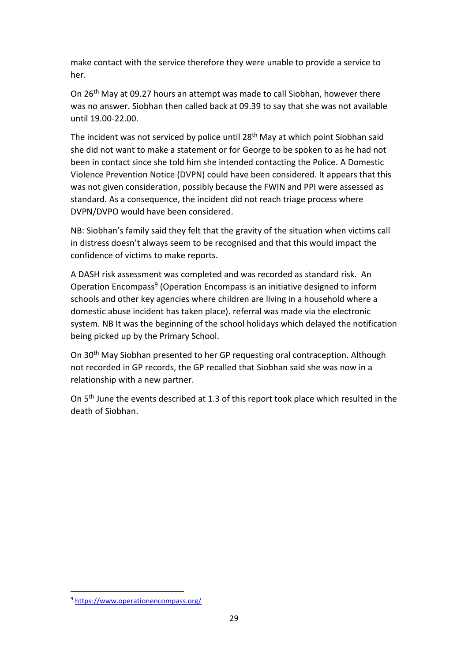make contact with the service therefore they were unable to provide a service to her.

On 26th May at 09.27 hours an attempt was made to call Siobhan, however there was no answer. Siobhan then called back at 09.39 to say that she was not available until 19.00-22.00.

The incident was not serviced by police until 28th May at which point Siobhan said she did not want to make a statement or for George to be spoken to as he had not been in contact since she told him she intended contacting the Police. A Domestic Violence Prevention Notice (DVPN) could have been considered. It appears that this was not given consideration, possibly because the FWIN and PPI were assessed as standard. As a consequence, the incident did not reach triage process where DVPN/DVPO would have been considered.

NB: Siobhan's family said they felt that the gravity of the situation when victims call in distress doesn't always seem to be recognised and that this would impact the confidence of victims to make reports.

A DASH risk assessment was completed and was recorded as standard risk. An Operation Encompass<sup>9</sup> (Operation Encompass is an initiative designed to inform schools and other key agencies where children are living in a household where a domestic abuse incident has taken place). referral was made via the electronic system. NB It was the beginning of the school holidays which delayed the notification being picked up by the Primary School.

On 30th May Siobhan presented to her GP requesting oral contraception. Although not recorded in GP records, the GP recalled that Siobhan said she was now in a relationship with a new partner.

On 5<sup>th</sup> June the events described at 1.3 of this report took place which resulted in the death of Siobhan.

<sup>9</sup> <https://www.operationencompass.org/>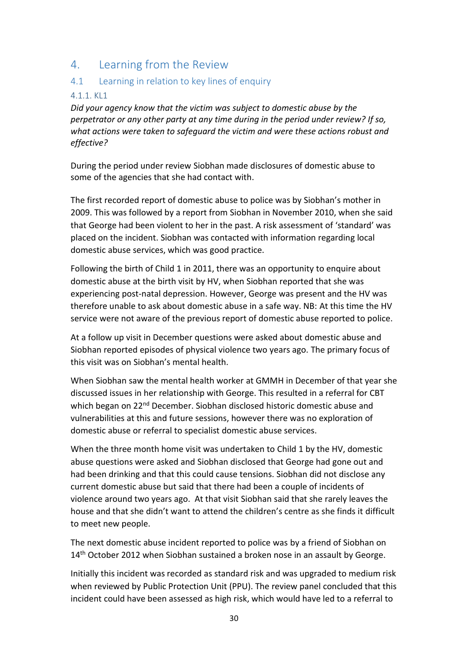# 4. Learning from the Review

#### 4.1 Learning in relation to key lines of enquiry

#### 4.1.1. KL1

*Did your agency know that the victim was subject to domestic abuse by the perpetrator or any other party at any time during in the period under review? If so, what actions were taken to safeguard the victim and were these actions robust and effective?*

During the period under review Siobhan made disclosures of domestic abuse to some of the agencies that she had contact with.

The first recorded report of domestic abuse to police was by Siobhan's mother in 2009. This was followed by a report from Siobhan in November 2010, when she said that George had been violent to her in the past. A risk assessment of 'standard' was placed on the incident. Siobhan was contacted with information regarding local domestic abuse services, which was good practice.

Following the birth of Child 1 in 2011, there was an opportunity to enquire about domestic abuse at the birth visit by HV, when Siobhan reported that she was experiencing post-natal depression. However, George was present and the HV was therefore unable to ask about domestic abuse in a safe way. NB: At this time the HV service were not aware of the previous report of domestic abuse reported to police.

At a follow up visit in December questions were asked about domestic abuse and Siobhan reported episodes of physical violence two years ago. The primary focus of this visit was on Siobhan's mental health.

When Siobhan saw the mental health worker at GMMH in December of that year she discussed issues in her relationship with George. This resulted in a referral for CBT which began on 22<sup>nd</sup> December. Siobhan disclosed historic domestic abuse and vulnerabilities at this and future sessions, however there was no exploration of domestic abuse or referral to specialist domestic abuse services.

When the three month home visit was undertaken to Child 1 by the HV, domestic abuse questions were asked and Siobhan disclosed that George had gone out and had been drinking and that this could cause tensions. Siobhan did not disclose any current domestic abuse but said that there had been a couple of incidents of violence around two years ago. At that visit Siobhan said that she rarely leaves the house and that she didn't want to attend the children's centre as she finds it difficult to meet new people.

The next domestic abuse incident reported to police was by a friend of Siobhan on 14<sup>th</sup> October 2012 when Siobhan sustained a broken nose in an assault by George.

Initially this incident was recorded as standard risk and was upgraded to medium risk when reviewed by Public Protection Unit (PPU). The review panel concluded that this incident could have been assessed as high risk, which would have led to a referral to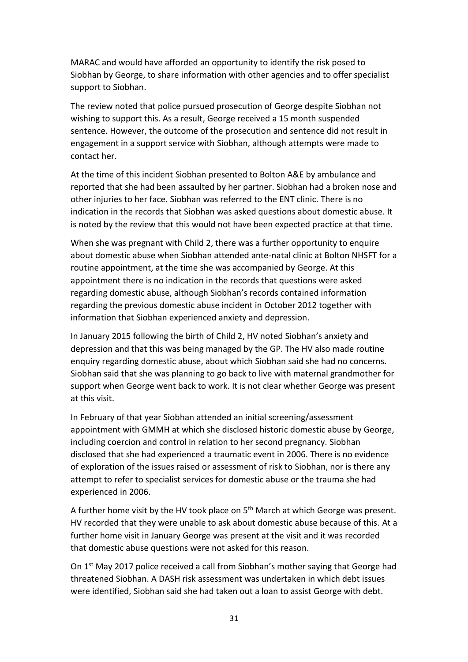MARAC and would have afforded an opportunity to identify the risk posed to Siobhan by George, to share information with other agencies and to offer specialist support to Siobhan.

The review noted that police pursued prosecution of George despite Siobhan not wishing to support this. As a result, George received a 15 month suspended sentence. However, the outcome of the prosecution and sentence did not result in engagement in a support service with Siobhan, although attempts were made to contact her.

At the time of this incident Siobhan presented to Bolton A&E by ambulance and reported that she had been assaulted by her partner. Siobhan had a broken nose and other injuries to her face. Siobhan was referred to the ENT clinic. There is no indication in the records that Siobhan was asked questions about domestic abuse. It is noted by the review that this would not have been expected practice at that time.

When she was pregnant with Child 2, there was a further opportunity to enquire about domestic abuse when Siobhan attended ante-natal clinic at Bolton NHSFT for a routine appointment, at the time she was accompanied by George. At this appointment there is no indication in the records that questions were asked regarding domestic abuse, although Siobhan's records contained information regarding the previous domestic abuse incident in October 2012 together with information that Siobhan experienced anxiety and depression.

In January 2015 following the birth of Child 2, HV noted Siobhan's anxiety and depression and that this was being managed by the GP. The HV also made routine enquiry regarding domestic abuse, about which Siobhan said she had no concerns. Siobhan said that she was planning to go back to live with maternal grandmother for support when George went back to work. It is not clear whether George was present at this visit.

In February of that year Siobhan attended an initial screening/assessment appointment with GMMH at which she disclosed historic domestic abuse by George, including coercion and control in relation to her second pregnancy. Siobhan disclosed that she had experienced a traumatic event in 2006. There is no evidence of exploration of the issues raised or assessment of risk to Siobhan, nor is there any attempt to refer to specialist services for domestic abuse or the trauma she had experienced in 2006.

A further home visit by the HV took place on  $5<sup>th</sup>$  March at which George was present. HV recorded that they were unable to ask about domestic abuse because of this. At a further home visit in January George was present at the visit and it was recorded that domestic abuse questions were not asked for this reason.

On 1st May 2017 police received a call from Siobhan's mother saying that George had threatened Siobhan. A DASH risk assessment was undertaken in which debt issues were identified, Siobhan said she had taken out a loan to assist George with debt.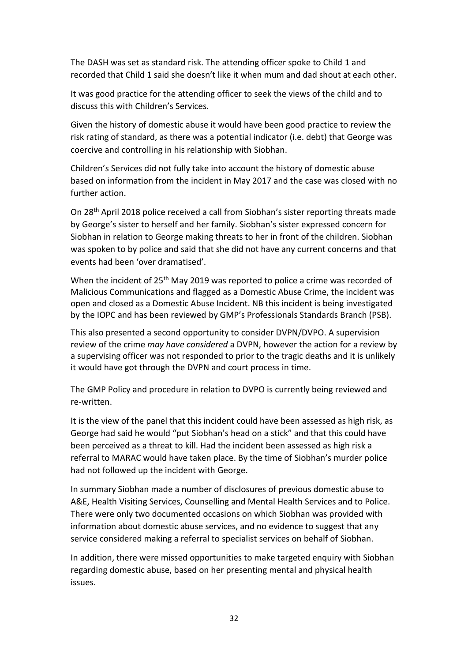The DASH was set as standard risk. The attending officer spoke to Child 1 and recorded that Child 1 said she doesn't like it when mum and dad shout at each other.

It was good practice for the attending officer to seek the views of the child and to discuss this with Children's Services.

Given the history of domestic abuse it would have been good practice to review the risk rating of standard, as there was a potential indicator (i.e. debt) that George was coercive and controlling in his relationship with Siobhan.

Children's Services did not fully take into account the history of domestic abuse based on information from the incident in May 2017 and the case was closed with no further action.

On 28th April 2018 police received a call from Siobhan's sister reporting threats made by George's sister to herself and her family. Siobhan's sister expressed concern for Siobhan in relation to George making threats to her in front of the children. Siobhan was spoken to by police and said that she did not have any current concerns and that events had been 'over dramatised'.

When the incident of 25<sup>th</sup> May 2019 was reported to police a crime was recorded of Malicious Communications and flagged as a Domestic Abuse Crime, the incident was open and closed as a Domestic Abuse Incident. NB this incident is being investigated by the IOPC and has been reviewed by GMP's Professionals Standards Branch (PSB).

This also presented a second opportunity to consider DVPN/DVPO. A supervision review of the crime *may have considered* a DVPN, however the action for a review by a supervising officer was not responded to prior to the tragic deaths and it is unlikely it would have got through the DVPN and court process in time.

The GMP Policy and procedure in relation to DVPO is currently being reviewed and re-written.

It is the view of the panel that this incident could have been assessed as high risk, as George had said he would "put Siobhan's head on a stick" and that this could have been perceived as a threat to kill. Had the incident been assessed as high risk a referral to MARAC would have taken place. By the time of Siobhan's murder police had not followed up the incident with George.

In summary Siobhan made a number of disclosures of previous domestic abuse to A&E, Health Visiting Services, Counselling and Mental Health Services and to Police. There were only two documented occasions on which Siobhan was provided with information about domestic abuse services, and no evidence to suggest that any service considered making a referral to specialist services on behalf of Siobhan.

In addition, there were missed opportunities to make targeted enquiry with Siobhan regarding domestic abuse, based on her presenting mental and physical health issues.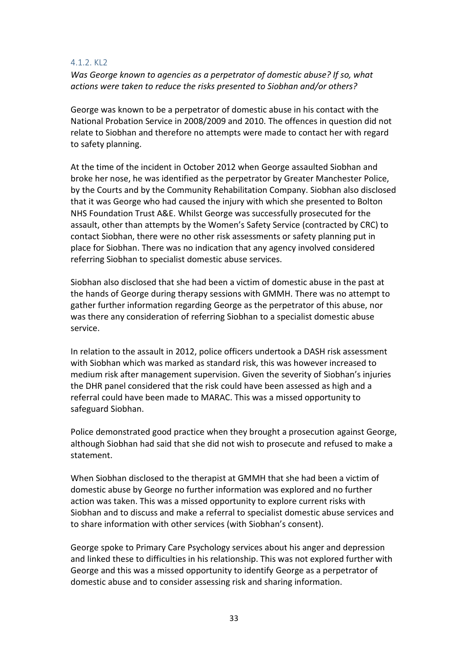#### 4.1.2. KL2

*Was George known to agencies as a perpetrator of domestic abuse? If so, what actions were taken to reduce the risks presented to Siobhan and/or others?*

George was known to be a perpetrator of domestic abuse in his contact with the National Probation Service in 2008/2009 and 2010. The offences in question did not relate to Siobhan and therefore no attempts were made to contact her with regard to safety planning.

At the time of the incident in October 2012 when George assaulted Siobhan and broke her nose, he was identified as the perpetrator by Greater Manchester Police, by the Courts and by the Community Rehabilitation Company. Siobhan also disclosed that it was George who had caused the injury with which she presented to Bolton NHS Foundation Trust A&E. Whilst George was successfully prosecuted for the assault, other than attempts by the Women's Safety Service (contracted by CRC) to contact Siobhan, there were no other risk assessments or safety planning put in place for Siobhan. There was no indication that any agency involved considered referring Siobhan to specialist domestic abuse services.

Siobhan also disclosed that she had been a victim of domestic abuse in the past at the hands of George during therapy sessions with GMMH. There was no attempt to gather further information regarding George as the perpetrator of this abuse, nor was there any consideration of referring Siobhan to a specialist domestic abuse service.

In relation to the assault in 2012, police officers undertook a DASH risk assessment with Siobhan which was marked as standard risk, this was however increased to medium risk after management supervision. Given the severity of Siobhan's injuries the DHR panel considered that the risk could have been assessed as high and a referral could have been made to MARAC. This was a missed opportunity to safeguard Siobhan.

Police demonstrated good practice when they brought a prosecution against George, although Siobhan had said that she did not wish to prosecute and refused to make a statement.

When Siobhan disclosed to the therapist at GMMH that she had been a victim of domestic abuse by George no further information was explored and no further action was taken. This was a missed opportunity to explore current risks with Siobhan and to discuss and make a referral to specialist domestic abuse services and to share information with other services (with Siobhan's consent).

George spoke to Primary Care Psychology services about his anger and depression and linked these to difficulties in his relationship. This was not explored further with George and this was a missed opportunity to identify George as a perpetrator of domestic abuse and to consider assessing risk and sharing information.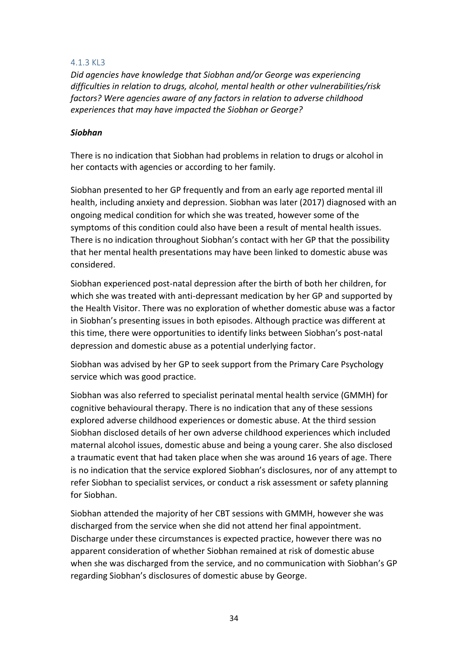#### 4.1.3 KL3

*Did agencies have knowledge that Siobhan and/or George was experiencing difficulties in relation to drugs, alcohol, mental health or other vulnerabilities/risk factors? Were agencies aware of any factors in relation to adverse childhood experiences that may have impacted the Siobhan or George?*

#### *Siobhan*

There is no indication that Siobhan had problems in relation to drugs or alcohol in her contacts with agencies or according to her family.

Siobhan presented to her GP frequently and from an early age reported mental ill health, including anxiety and depression. Siobhan was later (2017) diagnosed with an ongoing medical condition for which she was treated, however some of the symptoms of this condition could also have been a result of mental health issues. There is no indication throughout Siobhan's contact with her GP that the possibility that her mental health presentations may have been linked to domestic abuse was considered.

Siobhan experienced post-natal depression after the birth of both her children, for which she was treated with anti-depressant medication by her GP and supported by the Health Visitor. There was no exploration of whether domestic abuse was a factor in Siobhan's presenting issues in both episodes. Although practice was different at this time, there were opportunities to identify links between Siobhan's post-natal depression and domestic abuse as a potential underlying factor.

Siobhan was advised by her GP to seek support from the Primary Care Psychology service which was good practice.

Siobhan was also referred to specialist perinatal mental health service (GMMH) for cognitive behavioural therapy. There is no indication that any of these sessions explored adverse childhood experiences or domestic abuse. At the third session Siobhan disclosed details of her own adverse childhood experiences which included maternal alcohol issues, domestic abuse and being a young carer. She also disclosed a traumatic event that had taken place when she was around 16 years of age. There is no indication that the service explored Siobhan's disclosures, nor of any attempt to refer Siobhan to specialist services, or conduct a risk assessment or safety planning for Siobhan.

Siobhan attended the majority of her CBT sessions with GMMH, however she was discharged from the service when she did not attend her final appointment. Discharge under these circumstances is expected practice, however there was no apparent consideration of whether Siobhan remained at risk of domestic abuse when she was discharged from the service, and no communication with Siobhan's GP regarding Siobhan's disclosures of domestic abuse by George.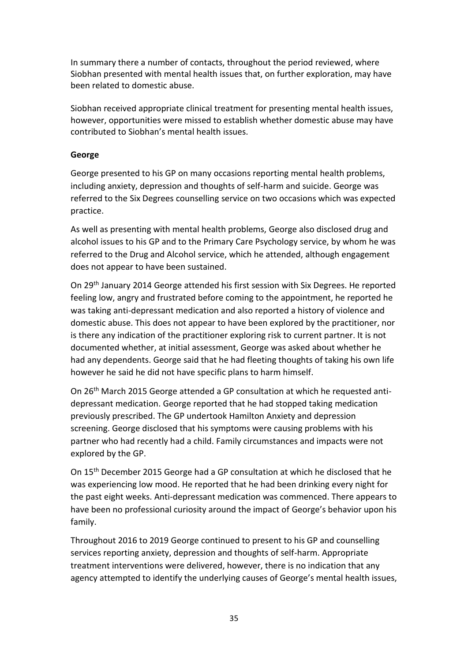In summary there a number of contacts, throughout the period reviewed, where Siobhan presented with mental health issues that, on further exploration, may have been related to domestic abuse.

Siobhan received appropriate clinical treatment for presenting mental health issues, however, opportunities were missed to establish whether domestic abuse may have contributed to Siobhan's mental health issues.

#### **George**

George presented to his GP on many occasions reporting mental health problems, including anxiety, depression and thoughts of self-harm and suicide. George was referred to the Six Degrees counselling service on two occasions which was expected practice.

As well as presenting with mental health problems, George also disclosed drug and alcohol issues to his GP and to the Primary Care Psychology service, by whom he was referred to the Drug and Alcohol service, which he attended, although engagement does not appear to have been sustained.

On 29th January 2014 George attended his first session with Six Degrees. He reported feeling low, angry and frustrated before coming to the appointment, he reported he was taking anti-depressant medication and also reported a history of violence and domestic abuse. This does not appear to have been explored by the practitioner, nor is there any indication of the practitioner exploring risk to current partner. It is not documented whether, at initial assessment, George was asked about whether he had any dependents. George said that he had fleeting thoughts of taking his own life however he said he did not have specific plans to harm himself.

On 26th March 2015 George attended a GP consultation at which he requested antidepressant medication. George reported that he had stopped taking medication previously prescribed. The GP undertook Hamilton Anxiety and depression screening. George disclosed that his symptoms were causing problems with his partner who had recently had a child. Family circumstances and impacts were not explored by the GP.

On 15th December 2015 George had a GP consultation at which he disclosed that he was experiencing low mood. He reported that he had been drinking every night for the past eight weeks. Anti-depressant medication was commenced. There appears to have been no professional curiosity around the impact of George's behavior upon his family.

Throughout 2016 to 2019 George continued to present to his GP and counselling services reporting anxiety, depression and thoughts of self-harm. Appropriate treatment interventions were delivered, however, there is no indication that any agency attempted to identify the underlying causes of George's mental health issues,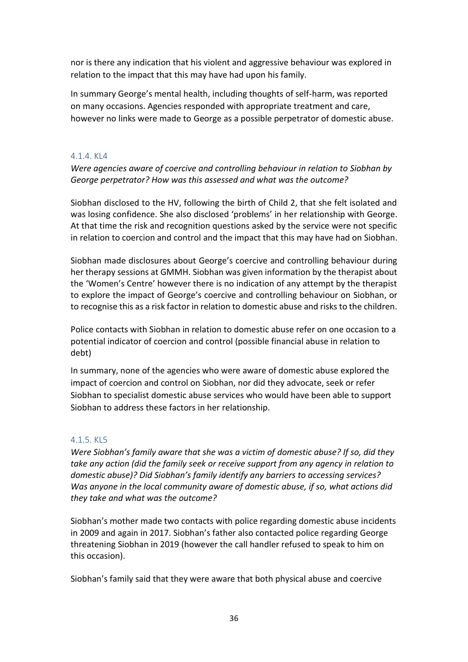nor is there any indication that his violent and aggressive behaviour was explored in relation to the impact that this may have had upon his family.

In summary George's mental health, including thoughts of self-harm, was reported on many occasions. Agencies responded with appropriate treatment and care, however no links were made to George as a possible perpetrator of domestic abuse.

#### 4.1.4. KL4

*Were agencies aware of coercive and controlling behaviour in relation to Siobhan by George perpetrator? How was this assessed and what was the outcome?*

Siobhan disclosed to the HV, following the birth of Child 2, that she felt isolated and was losing confidence. She also disclosed 'problems' in her relationship with George. At that time the risk and recognition questions asked by the service were not specific in relation to coercion and control and the impact that this may have had on Siobhan.

Siobhan made disclosures about George's coercive and controlling behaviour during her therapy sessions at GMMH. Siobhan was given information by the therapist about the 'Women's Centre' however there is no indication of any attempt by the therapist to explore the impact of George's coercive and controlling behaviour on Siobhan, or to recognise this as a risk factor in relation to domestic abuse and risks to the children.

Police contacts with Siobhan in relation to domestic abuse refer on one occasion to a potential indicator of coercion and control (possible financial abuse in relation to debt)

In summary, none of the agencies who were aware of domestic abuse explored the impact of coercion and control on Siobhan, nor did they advocate, seek or refer Siobhan to specialist domestic abuse services who would have been able to support Siobhan to address these factors in her relationship.

#### 4.1.5. KL5

*Were Siobhan's family aware that she was a victim of domestic abuse? If so, did they take any action (did the family seek or receive support from any agency in relation to domestic abuse)? Did Siobhan's family identify any barriers to accessing services? Was anyone in the local community aware of domestic abuse, if so, what actions did they take and what was the outcome?*

Siobhan's mother made two contacts with police regarding domestic abuse incidents in 2009 and again in 2017. Siobhan's father also contacted police regarding George threatening Siobhan in 2019 (however the call handler refused to speak to him on this occasion).

Siobhan's family said that they were aware that both physical abuse and coercive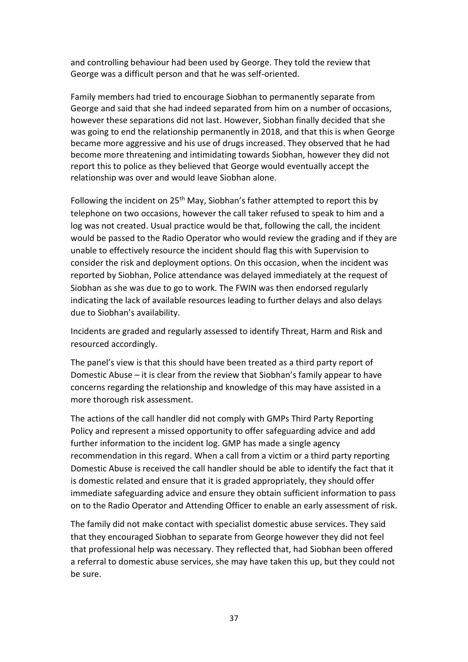and controlling behaviour had been used by George. They told the review that George was a difficult person and that he was self-oriented.

Family members had tried to encourage Siobhan to permanently separate from George and said that she had indeed separated from him on a number of occasions, however these separations did not last. However, Siobhan finally decided that she was going to end the relationship permanently in 2018, and that this is when George became more aggressive and his use of drugs increased. They observed that he had become more threatening and intimidating towards Siobhan, however they did not report this to police as they believed that George would eventually accept the relationship was over and would leave Siobhan alone.

Following the incident on 25<sup>th</sup> May, Siobhan's father attempted to report this by telephone on two occasions, however the call taker refused to speak to him and a log was not created. Usual practice would be that, following the call, the incident would be passed to the Radio Operator who would review the grading and if they are unable to effectively resource the incident should flag this with Supervision to consider the risk and deployment options. On this occasion, when the incident was reported by Siobhan, Police attendance was delayed immediately at the request of Siobhan as she was due to go to work. The FWIN was then endorsed regularly indicating the lack of available resources leading to further delays and also delays due to Siobhan's availability.

Incidents are graded and regularly assessed to identify Threat, Harm and Risk and resourced accordingly.

The panel's view is that this should have been treated as a third party report of Domestic Abuse – it is clear from the review that Siobhan's family appear to have concerns regarding the relationship and knowledge of this may have assisted in a more thorough risk assessment.

The actions of the call handler did not comply with GMPs Third Party Reporting Policy and represent a missed opportunity to offer safeguarding advice and add further information to the incident log. GMP has made a single agency recommendation in this regard. When a call from a victim or a third party reporting Domestic Abuse is received the call handler should be able to identify the fact that it is domestic related and ensure that it is graded appropriately, they should offer immediate safeguarding advice and ensure they obtain sufficient information to pass on to the Radio Operator and Attending Officer to enable an early assessment of risk.

The family did not make contact with specialist domestic abuse services. They said that they encouraged Siobhan to separate from George however they did not feel that professional help was necessary. They reflected that, had Siobhan been offered a referral to domestic abuse services, she may have taken this up, but they could not be sure.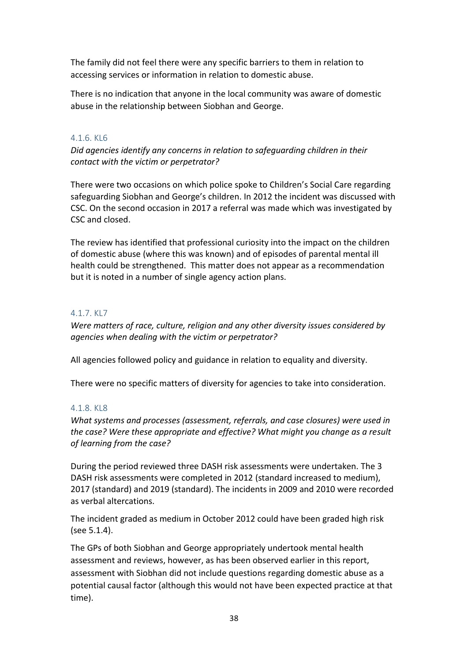The family did not feel there were any specific barriers to them in relation to accessing services or information in relation to domestic abuse.

There is no indication that anyone in the local community was aware of domestic abuse in the relationship between Siobhan and George.

#### 4.1.6. KL6

*Did agencies identify any concerns in relation to safeguarding children in their contact with the victim or perpetrator?*

There were two occasions on which police spoke to Children's Social Care regarding safeguarding Siobhan and George's children. In 2012 the incident was discussed with CSC. On the second occasion in 2017 a referral was made which was investigated by CSC and closed.

The review has identified that professional curiosity into the impact on the children of domestic abuse (where this was known) and of episodes of parental mental ill health could be strengthened. This matter does not appear as a recommendation but it is noted in a number of single agency action plans.

#### 4.1.7. KL7

*Were matters of race, culture, religion and any other diversity issues considered by agencies when dealing with the victim or perpetrator?* 

All agencies followed policy and guidance in relation to equality and diversity.

There were no specific matters of diversity for agencies to take into consideration.

#### 4.1.8. KL8

*What systems and processes (assessment, referrals, and case closures) were used in the case? Were these appropriate and effective? What might you change as a result of learning from the case?*

During the period reviewed three DASH risk assessments were undertaken. The 3 DASH risk assessments were completed in 2012 (standard increased to medium), 2017 (standard) and 2019 (standard). The incidents in 2009 and 2010 were recorded as verbal altercations.

The incident graded as medium in October 2012 could have been graded high risk (see 5.1.4).

The GPs of both Siobhan and George appropriately undertook mental health assessment and reviews, however, as has been observed earlier in this report, assessment with Siobhan did not include questions regarding domestic abuse as a potential causal factor (although this would not have been expected practice at that time).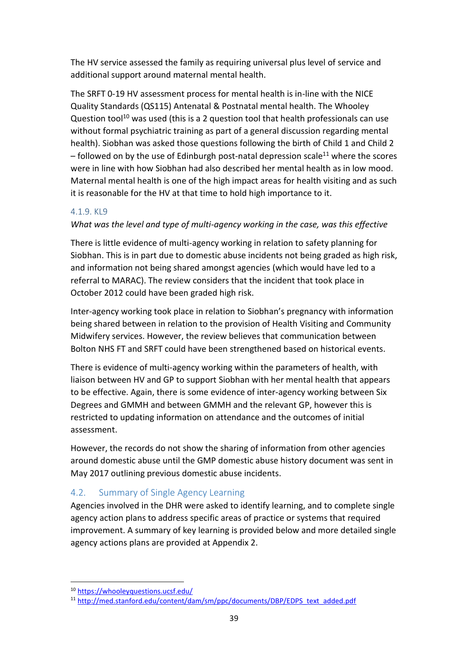The HV service assessed the family as requiring universal plus level of service and additional support around maternal mental health.

The SRFT 0-19 HV assessment process for mental health is in-line with the NICE Quality Standards (QS115) Antenatal & Postnatal mental health. The Whooley Question tool<sup>10</sup> was used (this is a 2 question tool that health professionals can use without formal psychiatric training as part of a general discussion regarding mental health). Siobhan was asked those questions following the birth of Child 1 and Child 2  $-$  followed on by the use of Edinburgh post-natal depression scale<sup>11</sup> where the scores were in line with how Siobhan had also described her mental health as in low mood. Maternal mental health is one of the high impact areas for health visiting and as such it is reasonable for the HV at that time to hold high importance to it.

#### 4.1.9. KL9

#### *What was the level and type of multi-agency working in the case, was this effective*

There is little evidence of multi-agency working in relation to safety planning for Siobhan. This is in part due to domestic abuse incidents not being graded as high risk, and information not being shared amongst agencies (which would have led to a referral to MARAC). The review considers that the incident that took place in October 2012 could have been graded high risk.

Inter-agency working took place in relation to Siobhan's pregnancy with information being shared between in relation to the provision of Health Visiting and Community Midwifery services. However, the review believes that communication between Bolton NHS FT and SRFT could have been strengthened based on historical events.

There is evidence of multi-agency working within the parameters of health, with liaison between HV and GP to support Siobhan with her mental health that appears to be effective. Again, there is some evidence of inter-agency working between Six Degrees and GMMH and between GMMH and the relevant GP, however this is restricted to updating information on attendance and the outcomes of initial assessment.

However, the records do not show the sharing of information from other agencies around domestic abuse until the GMP domestic abuse history document was sent in May 2017 outlining previous domestic abuse incidents.

#### 4.2. Summary of Single Agency Learning

Agencies involved in the DHR were asked to identify learning, and to complete single agency action plans to address specific areas of practice or systems that required improvement. A summary of key learning is provided below and more detailed single agency actions plans are provided at Appendix 2.

<sup>10</sup> <https://whooleyquestions.ucsf.edu/>

<sup>11</sup> [http://med.stanford.edu/content/dam/sm/ppc/documents/DBP/EDPS\\_text\\_added.pdf](http://med.stanford.edu/content/dam/sm/ppc/documents/DBP/EDPS_text_added.pdf)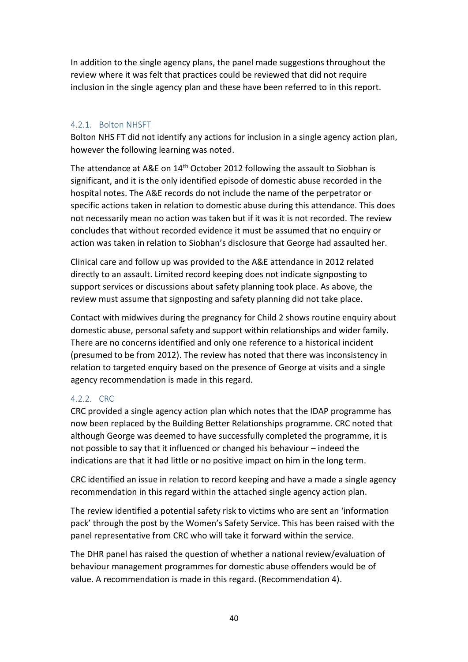In addition to the single agency plans, the panel made suggestions throughout the review where it was felt that practices could be reviewed that did not require inclusion in the single agency plan and these have been referred to in this report.

#### 4.2.1. Bolton NHSFT

Bolton NHS FT did not identify any actions for inclusion in a single agency action plan, however the following learning was noted.

The attendance at A&E on 14<sup>th</sup> October 2012 following the assault to Siobhan is significant, and it is the only identified episode of domestic abuse recorded in the hospital notes. The A&E records do not include the name of the perpetrator or specific actions taken in relation to domestic abuse during this attendance. This does not necessarily mean no action was taken but if it was it is not recorded. The review concludes that without recorded evidence it must be assumed that no enquiry or action was taken in relation to Siobhan's disclosure that George had assaulted her.

Clinical care and follow up was provided to the A&E attendance in 2012 related directly to an assault. Limited record keeping does not indicate signposting to support services or discussions about safety planning took place. As above, the review must assume that signposting and safety planning did not take place.

Contact with midwives during the pregnancy for Child 2 shows routine enquiry about domestic abuse, personal safety and support within relationships and wider family. There are no concerns identified and only one reference to a historical incident (presumed to be from 2012). The review has noted that there was inconsistency in relation to targeted enquiry based on the presence of George at visits and a single agency recommendation is made in this regard.

#### 4.2.2. CRC

CRC provided a single agency action plan which notes that the IDAP programme has now been replaced by the Building Better Relationships programme. CRC noted that although George was deemed to have successfully completed the programme, it is not possible to say that it influenced or changed his behaviour – indeed the indications are that it had little or no positive impact on him in the long term.

CRC identified an issue in relation to record keeping and have a made a single agency recommendation in this regard within the attached single agency action plan.

The review identified a potential safety risk to victims who are sent an 'information pack' through the post by the Women's Safety Service. This has been raised with the panel representative from CRC who will take it forward within the service.

The DHR panel has raised the question of whether a national review/evaluation of behaviour management programmes for domestic abuse offenders would be of value. A recommendation is made in this regard. (Recommendation 4).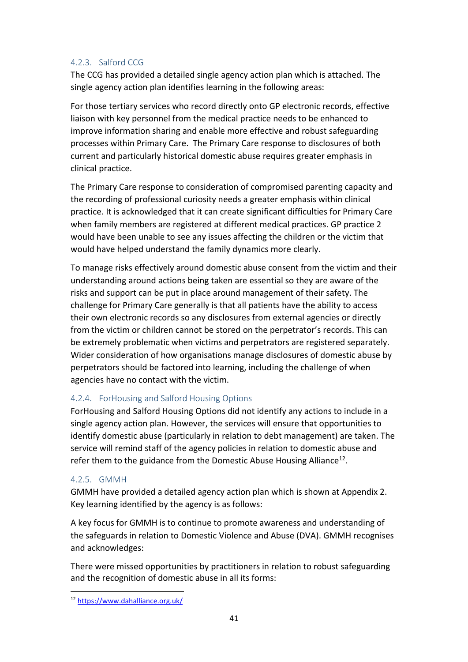#### 4.2.3. Salford CCG

The CCG has provided a detailed single agency action plan which is attached. The single agency action plan identifies learning in the following areas:

For those tertiary services who record directly onto GP electronic records, effective liaison with key personnel from the medical practice needs to be enhanced to improve information sharing and enable more effective and robust safeguarding processes within Primary Care. The Primary Care response to disclosures of both current and particularly historical domestic abuse requires greater emphasis in clinical practice.

The Primary Care response to consideration of compromised parenting capacity and the recording of professional curiosity needs a greater emphasis within clinical practice. It is acknowledged that it can create significant difficulties for Primary Care when family members are registered at different medical practices. GP practice 2 would have been unable to see any issues affecting the children or the victim that would have helped understand the family dynamics more clearly.

To manage risks effectively around domestic abuse consent from the victim and their understanding around actions being taken are essential so they are aware of the risks and support can be put in place around management of their safety. The challenge for Primary Care generally is that all patients have the ability to access their own electronic records so any disclosures from external agencies or directly from the victim or children cannot be stored on the perpetrator's records. This can be extremely problematic when victims and perpetrators are registered separately. Wider consideration of how organisations manage disclosures of domestic abuse by perpetrators should be factored into learning, including the challenge of when agencies have no contact with the victim.

#### 4.2.4. ForHousing and Salford Housing Options

ForHousing and Salford Housing Options did not identify any actions to include in a single agency action plan. However, the services will ensure that opportunities to identify domestic abuse (particularly in relation to debt management) are taken. The service will remind staff of the agency policies in relation to domestic abuse and refer them to the guidance from the Domestic Abuse Housing Alliance<sup>12</sup>.

#### 4.2.5. GMMH

GMMH have provided a detailed agency action plan which is shown at Appendix 2. Key learning identified by the agency is as follows:

A key focus for GMMH is to continue to promote awareness and understanding of the safeguards in relation to Domestic Violence and Abuse (DVA). GMMH recognises and acknowledges:

There were missed opportunities by practitioners in relation to robust safeguarding and the recognition of domestic abuse in all its forms:

<sup>12</sup> <https://www.dahalliance.org.uk/>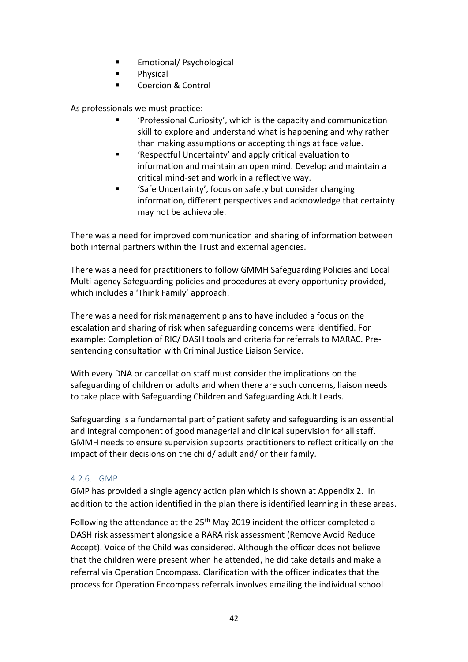- Emotional/ Psychological
- Physical
- Coercion & Control

As professionals we must practice:

- 'Professional Curiosity', which is the capacity and communication skill to explore and understand what is happening and why rather than making assumptions or accepting things at face value.
- 'Respectful Uncertainty' and apply critical evaluation to information and maintain an open mind. Develop and maintain a critical mind-set and work in a reflective way.
- 'Safe Uncertainty', focus on safety but consider changing information, different perspectives and acknowledge that certainty may not be achievable.

There was a need for improved communication and sharing of information between both internal partners within the Trust and external agencies.

There was a need for practitioners to follow GMMH Safeguarding Policies and Local Multi-agency Safeguarding policies and procedures at every opportunity provided, which includes a 'Think Family' approach.

There was a need for risk management plans to have included a focus on the escalation and sharing of risk when safeguarding concerns were identified. For example: Completion of RIC/ DASH tools and criteria for referrals to MARAC. Presentencing consultation with Criminal Justice Liaison Service.

With every DNA or cancellation staff must consider the implications on the safeguarding of children or adults and when there are such concerns, liaison needs to take place with Safeguarding Children and Safeguarding Adult Leads.

Safeguarding is a fundamental part of patient safety and safeguarding is an essential and integral component of good managerial and clinical supervision for all staff. GMMH needs to ensure supervision supports practitioners to reflect critically on the impact of their decisions on the child/ adult and/ or their family.

#### 4.2.6. GMP

GMP has provided a single agency action plan which is shown at Appendix 2. In addition to the action identified in the plan there is identified learning in these areas.

Following the attendance at the 25<sup>th</sup> May 2019 incident the officer completed a DASH risk assessment alongside a RARA risk assessment (Remove Avoid Reduce Accept). Voice of the Child was considered. Although the officer does not believe that the children were present when he attended, he did take details and make a referral via Operation Encompass. Clarification with the officer indicates that the process for Operation Encompass referrals involves emailing the individual school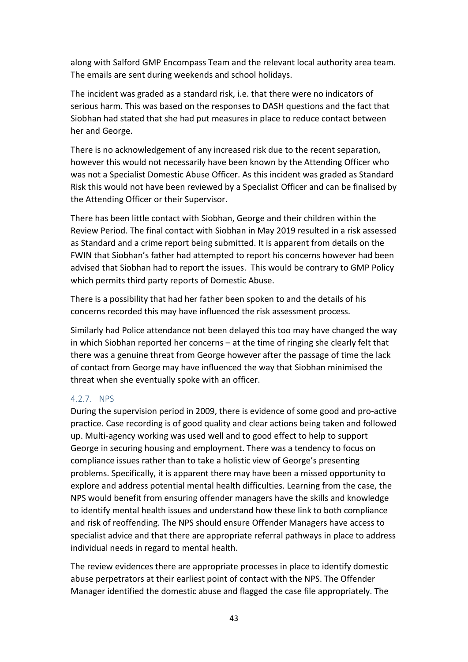along with Salford GMP Encompass Team and the relevant local authority area team. The emails are sent during weekends and school holidays.

The incident was graded as a standard risk, i.e. that there were no indicators of serious harm. This was based on the responses to DASH questions and the fact that Siobhan had stated that she had put measures in place to reduce contact between her and George.

There is no acknowledgement of any increased risk due to the recent separation, however this would not necessarily have been known by the Attending Officer who was not a Specialist Domestic Abuse Officer. As this incident was graded as Standard Risk this would not have been reviewed by a Specialist Officer and can be finalised by the Attending Officer or their Supervisor.

There has been little contact with Siobhan, George and their children within the Review Period. The final contact with Siobhan in May 2019 resulted in a risk assessed as Standard and a crime report being submitted. It is apparent from details on the FWIN that Siobhan's father had attempted to report his concerns however had been advised that Siobhan had to report the issues. This would be contrary to GMP Policy which permits third party reports of Domestic Abuse.

There is a possibility that had her father been spoken to and the details of his concerns recorded this may have influenced the risk assessment process.

Similarly had Police attendance not been delayed this too may have changed the way in which Siobhan reported her concerns – at the time of ringing she clearly felt that there was a genuine threat from George however after the passage of time the lack of contact from George may have influenced the way that Siobhan minimised the threat when she eventually spoke with an officer.

#### 4.2.7. NPS

During the supervision period in 2009, there is evidence of some good and pro-active practice. Case recording is of good quality and clear actions being taken and followed up. Multi-agency working was used well and to good effect to help to support George in securing housing and employment. There was a tendency to focus on compliance issues rather than to take a holistic view of George's presenting problems. Specifically, it is apparent there may have been a missed opportunity to explore and address potential mental health difficulties. Learning from the case, the NPS would benefit from ensuring offender managers have the skills and knowledge to identify mental health issues and understand how these link to both compliance and risk of reoffending. The NPS should ensure Offender Managers have access to specialist advice and that there are appropriate referral pathways in place to address individual needs in regard to mental health.

The review evidences there are appropriate processes in place to identify domestic abuse perpetrators at their earliest point of contact with the NPS. The Offender Manager identified the domestic abuse and flagged the case file appropriately. The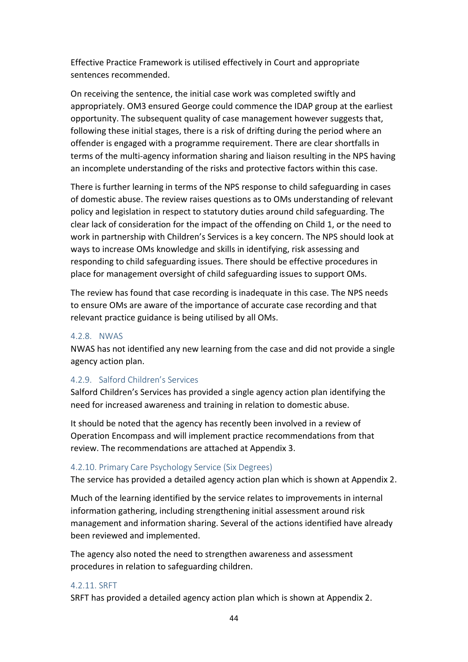Effective Practice Framework is utilised effectively in Court and appropriate sentences recommended.

On receiving the sentence, the initial case work was completed swiftly and appropriately. OM3 ensured George could commence the IDAP group at the earliest opportunity. The subsequent quality of case management however suggests that, following these initial stages, there is a risk of drifting during the period where an offender is engaged with a programme requirement. There are clear shortfalls in terms of the multi-agency information sharing and liaison resulting in the NPS having an incomplete understanding of the risks and protective factors within this case.

There is further learning in terms of the NPS response to child safeguarding in cases of domestic abuse. The review raises questions as to OMs understanding of relevant policy and legislation in respect to statutory duties around child safeguarding. The clear lack of consideration for the impact of the offending on Child 1, or the need to work in partnership with Children's Services is a key concern. The NPS should look at ways to increase OMs knowledge and skills in identifying, risk assessing and responding to child safeguarding issues. There should be effective procedures in place for management oversight of child safeguarding issues to support OMs.

The review has found that case recording is inadequate in this case. The NPS needs to ensure OMs are aware of the importance of accurate case recording and that relevant practice guidance is being utilised by all OMs.

#### 4.2.8. NWAS

NWAS has not identified any new learning from the case and did not provide a single agency action plan.

#### 4.2.9. Salford Children's Services

Salford Children's Services has provided a single agency action plan identifying the need for increased awareness and training in relation to domestic abuse.

It should be noted that the agency has recently been involved in a review of Operation Encompass and will implement practice recommendations from that review. The recommendations are attached at Appendix 3.

#### 4.2.10. Primary Care Psychology Service (Six Degrees)

The service has provided a detailed agency action plan which is shown at Appendix 2.

Much of the learning identified by the service relates to improvements in internal information gathering, including strengthening initial assessment around risk management and information sharing. Several of the actions identified have already been reviewed and implemented.

The agency also noted the need to strengthen awareness and assessment procedures in relation to safeguarding children.

#### 4.2.11. SRFT

SRFT has provided a detailed agency action plan which is shown at Appendix 2.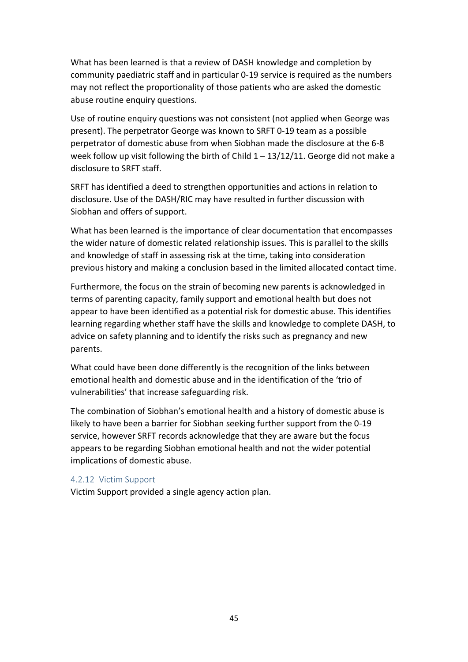What has been learned is that a review of DASH knowledge and completion by community paediatric staff and in particular 0-19 service is required as the numbers may not reflect the proportionality of those patients who are asked the domestic abuse routine enquiry questions.

Use of routine enquiry questions was not consistent (not applied when George was present). The perpetrator George was known to SRFT 0-19 team as a possible perpetrator of domestic abuse from when Siobhan made the disclosure at the 6-8 week follow up visit following the birth of Child  $1 - 13/12/11$ . George did not make a disclosure to SRFT staff.

SRFT has identified a deed to strengthen opportunities and actions in relation to disclosure. Use of the DASH/RIC may have resulted in further discussion with Siobhan and offers of support.

What has been learned is the importance of clear documentation that encompasses the wider nature of domestic related relationship issues. This is parallel to the skills and knowledge of staff in assessing risk at the time, taking into consideration previous history and making a conclusion based in the limited allocated contact time.

Furthermore, the focus on the strain of becoming new parents is acknowledged in terms of parenting capacity, family support and emotional health but does not appear to have been identified as a potential risk for domestic abuse. This identifies learning regarding whether staff have the skills and knowledge to complete DASH, to advice on safety planning and to identify the risks such as pregnancy and new parents.

What could have been done differently is the recognition of the links between emotional health and domestic abuse and in the identification of the 'trio of vulnerabilities' that increase safeguarding risk.

The combination of Siobhan's emotional health and a history of domestic abuse is likely to have been a barrier for Siobhan seeking further support from the 0-19 service, however SRFT records acknowledge that they are aware but the focus appears to be regarding Siobhan emotional health and not the wider potential implications of domestic abuse.

#### 4.2.12 Victim Support

Victim Support provided a single agency action plan.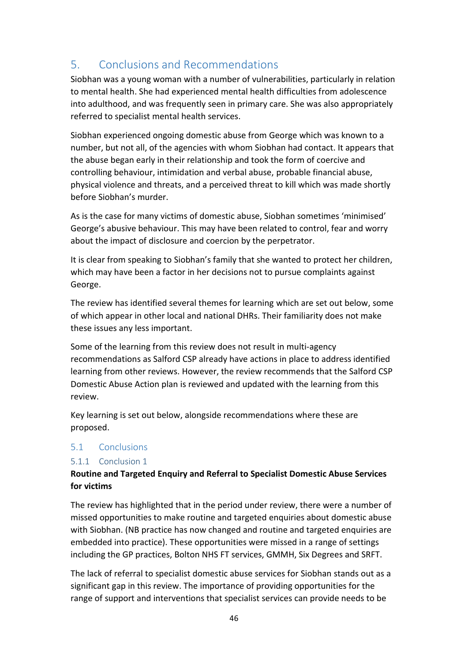# 5. Conclusions and Recommendations

Siobhan was a young woman with a number of vulnerabilities, particularly in relation to mental health. She had experienced mental health difficulties from adolescence into adulthood, and was frequently seen in primary care. She was also appropriately referred to specialist mental health services.

Siobhan experienced ongoing domestic abuse from George which was known to a number, but not all, of the agencies with whom Siobhan had contact. It appears that the abuse began early in their relationship and took the form of coercive and controlling behaviour, intimidation and verbal abuse, probable financial abuse, physical violence and threats, and a perceived threat to kill which was made shortly before Siobhan's murder.

As is the case for many victims of domestic abuse, Siobhan sometimes 'minimised' George's abusive behaviour. This may have been related to control, fear and worry about the impact of disclosure and coercion by the perpetrator.

It is clear from speaking to Siobhan's family that she wanted to protect her children, which may have been a factor in her decisions not to pursue complaints against George.

The review has identified several themes for learning which are set out below, some of which appear in other local and national DHRs. Their familiarity does not make these issues any less important.

Some of the learning from this review does not result in multi-agency recommendations as Salford CSP already have actions in place to address identified learning from other reviews. However, the review recommends that the Salford CSP Domestic Abuse Action plan is reviewed and updated with the learning from this review.

Key learning is set out below, alongside recommendations where these are proposed.

#### 5.1 Conclusions

#### 5.1.1 Conclusion 1

#### **Routine and Targeted Enquiry and Referral to Specialist Domestic Abuse Services for victims**

The review has highlighted that in the period under review, there were a number of missed opportunities to make routine and targeted enquiries about domestic abuse with Siobhan. (NB practice has now changed and routine and targeted enquiries are embedded into practice). These opportunities were missed in a range of settings including the GP practices, Bolton NHS FT services, GMMH, Six Degrees and SRFT.

The lack of referral to specialist domestic abuse services for Siobhan stands out as a significant gap in this review. The importance of providing opportunities for the range of support and interventions that specialist services can provide needs to be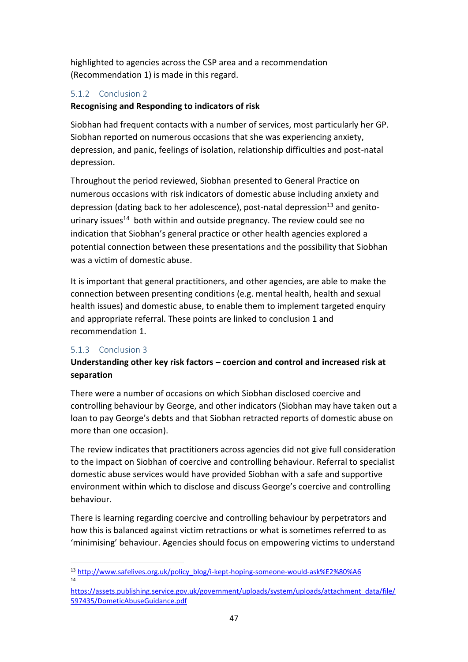highlighted to agencies across the CSP area and a recommendation (Recommendation 1) is made in this regard.

#### 5.1.2 Conclusion 2

#### **Recognising and Responding to indicators of risk**

Siobhan had frequent contacts with a number of services, most particularly her GP. Siobhan reported on numerous occasions that she was experiencing anxiety, depression, and panic, feelings of isolation, relationship difficulties and post-natal depression.

Throughout the period reviewed, Siobhan presented to General Practice on numerous occasions with risk indicators of domestic abuse including anxiety and depression (dating back to her adolescence), post-natal depression<sup>13</sup> and genitourinary issues<sup>14</sup> both within and outside pregnancy. The review could see no indication that Siobhan's general practice or other health agencies explored a potential connection between these presentations and the possibility that Siobhan was a victim of domestic abuse.

It is important that general practitioners, and other agencies, are able to make the connection between presenting conditions (e.g. mental health, health and sexual health issues) and domestic abuse, to enable them to implement targeted enquiry and appropriate referral. These points are linked to conclusion 1 and recommendation 1.

#### 5.1.3 Conclusion 3

#### **Understanding other key risk factors – coercion and control and increased risk at separation**

There were a number of occasions on which Siobhan disclosed coercive and controlling behaviour by George, and other indicators (Siobhan may have taken out a loan to pay George's debts and that Siobhan retracted reports of domestic abuse on more than one occasion).

The review indicates that practitioners across agencies did not give full consideration to the impact on Siobhan of coercive and controlling behaviour. Referral to specialist domestic abuse services would have provided Siobhan with a safe and supportive environment within which to disclose and discuss George's coercive and controlling behaviour.

There is learning regarding coercive and controlling behaviour by perpetrators and how this is balanced against victim retractions or what is sometimes referred to as 'minimising' behaviour. Agencies should focus on empowering victims to understand

<sup>13</sup> [http://www.safelives.org.uk/policy\\_blog/i-kept-hoping-someone-would-ask%E2%80%A6](http://www.safelives.org.uk/policy_blog/i-kept-hoping-someone-would-ask%E2%80%A6) 14

[https://assets.publishing.service.gov.uk/government/uploads/system/uploads/attachment\\_data/file/](https://assets.publishing.service.gov.uk/government/uploads/system/uploads/attachment_data/file/597435/DometicAbuseGuidance.pdf) [597435/DometicAbuseGuidance.pdf](https://assets.publishing.service.gov.uk/government/uploads/system/uploads/attachment_data/file/597435/DometicAbuseGuidance.pdf)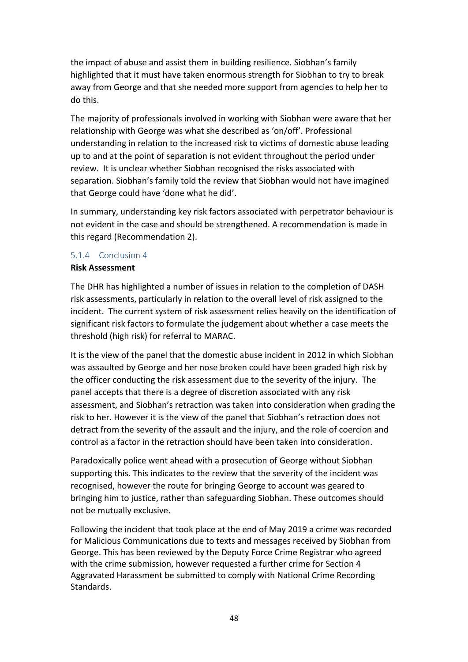the impact of abuse and assist them in building resilience. Siobhan's family highlighted that it must have taken enormous strength for Siobhan to try to break away from George and that she needed more support from agencies to help her to do this.

The majority of professionals involved in working with Siobhan were aware that her relationship with George was what she described as 'on/off'. Professional understanding in relation to the increased risk to victims of domestic abuse leading up to and at the point of separation is not evident throughout the period under review. It is unclear whether Siobhan recognised the risks associated with separation. Siobhan's family told the review that Siobhan would not have imagined that George could have 'done what he did'.

In summary, understanding key risk factors associated with perpetrator behaviour is not evident in the case and should be strengthened. A recommendation is made in this regard (Recommendation 2).

#### 5.1.4 Conclusion 4

#### **Risk Assessment**

The DHR has highlighted a number of issues in relation to the completion of DASH risk assessments, particularly in relation to the overall level of risk assigned to the incident. The current system of risk assessment relies heavily on the identification of significant risk factors to formulate the judgement about whether a case meets the threshold (high risk) for referral to MARAC.

It is the view of the panel that the domestic abuse incident in 2012 in which Siobhan was assaulted by George and her nose broken could have been graded high risk by the officer conducting the risk assessment due to the severity of the injury. The panel accepts that there is a degree of discretion associated with any risk assessment, and Siobhan's retraction was taken into consideration when grading the risk to her. However it is the view of the panel that Siobhan's retraction does not detract from the severity of the assault and the injury, and the role of coercion and control as a factor in the retraction should have been taken into consideration.

Paradoxically police went ahead with a prosecution of George without Siobhan supporting this. This indicates to the review that the severity of the incident was recognised, however the route for bringing George to account was geared to bringing him to justice, rather than safeguarding Siobhan. These outcomes should not be mutually exclusive.

Following the incident that took place at the end of May 2019 a crime was recorded for Malicious Communications due to texts and messages received by Siobhan from George. This has been reviewed by the Deputy Force Crime Registrar who agreed with the crime submission, however requested a further crime for Section 4 Aggravated Harassment be submitted to comply with National Crime Recording Standards.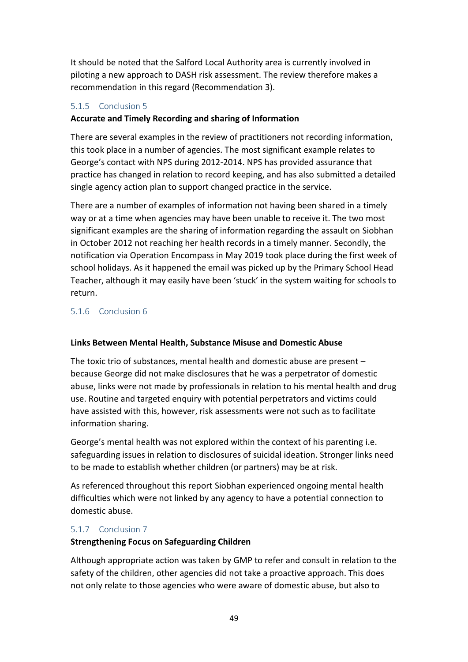It should be noted that the Salford Local Authority area is currently involved in piloting a new approach to DASH risk assessment. The review therefore makes a recommendation in this regard (Recommendation 3).

#### 5.1.5 Conclusion 5

#### **Accurate and Timely Recording and sharing of Information**

There are several examples in the review of practitioners not recording information, this took place in a number of agencies. The most significant example relates to George's contact with NPS during 2012-2014. NPS has provided assurance that practice has changed in relation to record keeping, and has also submitted a detailed single agency action plan to support changed practice in the service.

There are a number of examples of information not having been shared in a timely way or at a time when agencies may have been unable to receive it. The two most significant examples are the sharing of information regarding the assault on Siobhan in October 2012 not reaching her health records in a timely manner. Secondly, the notification via Operation Encompass in May 2019 took place during the first week of school holidays. As it happened the email was picked up by the Primary School Head Teacher, although it may easily have been 'stuck' in the system waiting for schools to return.

#### 5.1.6 Conclusion 6

#### **Links Between Mental Health, Substance Misuse and Domestic Abuse**

The toxic trio of substances, mental health and domestic abuse are present – because George did not make disclosures that he was a perpetrator of domestic abuse, links were not made by professionals in relation to his mental health and drug use. Routine and targeted enquiry with potential perpetrators and victims could have assisted with this, however, risk assessments were not such as to facilitate information sharing.

George's mental health was not explored within the context of his parenting i.e. safeguarding issues in relation to disclosures of suicidal ideation. Stronger links need to be made to establish whether children (or partners) may be at risk.

As referenced throughout this report Siobhan experienced ongoing mental health difficulties which were not linked by any agency to have a potential connection to domestic abuse.

#### 5.1.7 Conclusion 7

#### **Strengthening Focus on Safeguarding Children**

Although appropriate action was taken by GMP to refer and consult in relation to the safety of the children, other agencies did not take a proactive approach. This does not only relate to those agencies who were aware of domestic abuse, but also to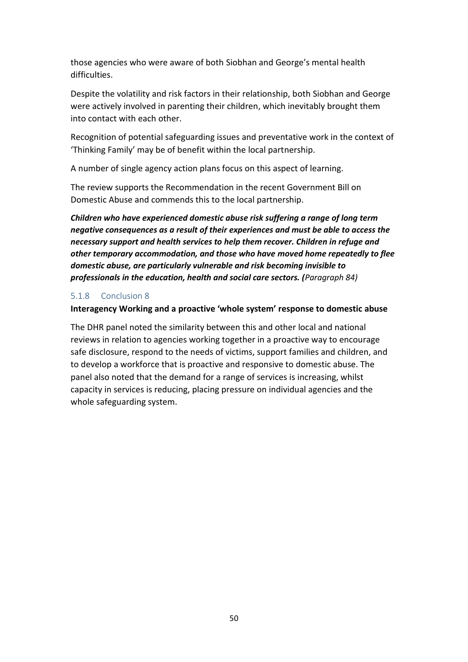those agencies who were aware of both Siobhan and George's mental health difficulties.

Despite the volatility and risk factors in their relationship, both Siobhan and George were actively involved in parenting their children, which inevitably brought them into contact with each other.

Recognition of potential safeguarding issues and preventative work in the context of 'Thinking Family' may be of benefit within the local partnership.

A number of single agency action plans focus on this aspect of learning.

The review supports the Recommendation in the recent Government Bill on Domestic Abuse and commends this to the local partnership.

*Children who have experienced domestic abuse risk suffering a range of long term negative consequences as a result of their experiences and must be able to access the necessary support and health services to help them recover. Children in refuge and other temporary accommodation, and those who have moved home repeatedly to flee domestic abuse, are particularly vulnerable and risk becoming invisible to professionals in the education, health and social care sectors. (Paragraph 84)*

#### 5.1.8 Conclusion 8

#### **Interagency Working and a proactive 'whole system' response to domestic abuse**

The DHR panel noted the similarity between this and other local and national reviews in relation to agencies working together in a proactive way to encourage safe disclosure, respond to the needs of victims, support families and children, and to develop a workforce that is proactive and responsive to domestic abuse. The panel also noted that the demand for a range of services is increasing, whilst capacity in services is reducing, placing pressure on individual agencies and the whole safeguarding system.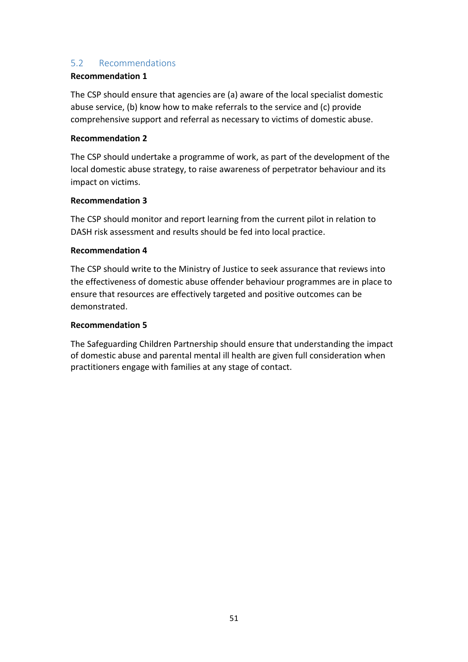#### 5.2 Recommendations

#### **Recommendation 1**

The CSP should ensure that agencies are (a) aware of the local specialist domestic abuse service, (b) know how to make referrals to the service and (c) provide comprehensive support and referral as necessary to victims of domestic abuse.

#### **Recommendation 2**

The CSP should undertake a programme of work, as part of the development of the local domestic abuse strategy, to raise awareness of perpetrator behaviour and its impact on victims.

#### **Recommendation 3**

The CSP should monitor and report learning from the current pilot in relation to DASH risk assessment and results should be fed into local practice.

#### **Recommendation 4**

The CSP should write to the Ministry of Justice to seek assurance that reviews into the effectiveness of domestic abuse offender behaviour programmes are in place to ensure that resources are effectively targeted and positive outcomes can be demonstrated.

#### **Recommendation 5**

The Safeguarding Children Partnership should ensure that understanding the impact of domestic abuse and parental mental ill health are given full consideration when practitioners engage with families at any stage of contact.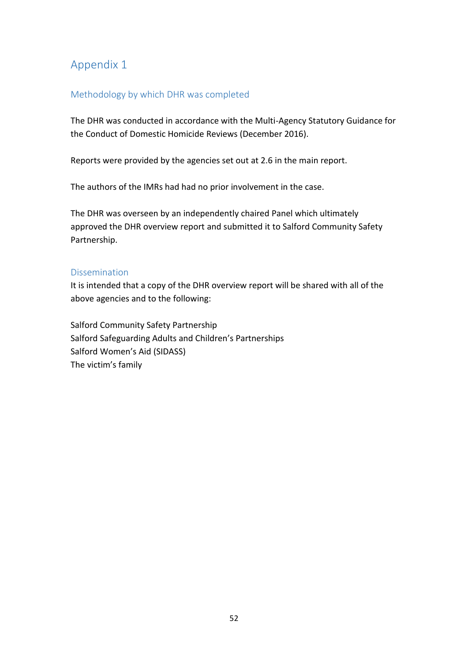# Appendix 1

#### Methodology by which DHR was completed

The DHR was conducted in accordance with the Multi-Agency Statutory Guidance for the Conduct of Domestic Homicide Reviews (December 2016).

Reports were provided by the agencies set out at 2.6 in the main report.

The authors of the IMRs had had no prior involvement in the case.

The DHR was overseen by an independently chaired Panel which ultimately approved the DHR overview report and submitted it to Salford Community Safety Partnership.

#### Dissemination

It is intended that a copy of the DHR overview report will be shared with all of the above agencies and to the following:

Salford Community Safety Partnership Salford Safeguarding Adults and Children's Partnerships Salford Women's Aid (SIDASS) The victim's family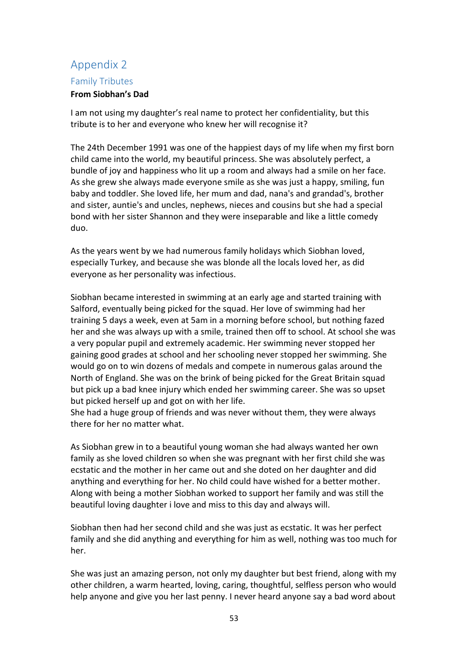# Appendix 2 Family Tributes

#### **From Siobhan's Dad**

I am not using my daughter's real name to protect her confidentiality, but this tribute is to her and everyone who knew her will recognise it?

The 24th December 1991 was one of the happiest days of my life when my first born child came into the world, my beautiful princess. She was absolutely perfect, a bundle of joy and happiness who lit up a room and always had a smile on her face. As she grew she always made everyone smile as she was just a happy, smiling, fun baby and toddler. She loved life, her mum and dad, nana's and grandad's, brother and sister, auntie's and uncles, nephews, nieces and cousins but she had a special bond with her sister Shannon and they were inseparable and like a little comedy duo.

As the years went by we had numerous family holidays which Siobhan loved, especially Turkey, and because she was blonde all the locals loved her, as did everyone as her personality was infectious.

Siobhan became interested in swimming at an early age and started training with Salford, eventually being picked for the squad. Her love of swimming had her training 5 days a week, even at 5am in a morning before school, but nothing fazed her and she was always up with a smile, trained then off to school. At school she was a very popular pupil and extremely academic. Her swimming never stopped her gaining good grades at school and her schooling never stopped her swimming. She would go on to win dozens of medals and compete in numerous galas around the North of England. She was on the brink of being picked for the Great Britain squad but pick up a bad knee injury which ended her swimming career. She was so upset but picked herself up and got on with her life.

She had a huge group of friends and was never without them, they were always there for her no matter what.

As Siobhan grew in to a beautiful young woman she had always wanted her own family as she loved children so when she was pregnant with her first child she was ecstatic and the mother in her came out and she doted on her daughter and did anything and everything for her. No child could have wished for a better mother. Along with being a mother Siobhan worked to support her family and was still the beautiful loving daughter i love and miss to this day and always will.

Siobhan then had her second child and she was just as ecstatic. It was her perfect family and she did anything and everything for him as well, nothing was too much for her.

She was just an amazing person, not only my daughter but best friend, along with my other children, a warm hearted, loving, caring, thoughtful, selfless person who would help anyone and give you her last penny. I never heard anyone say a bad word about